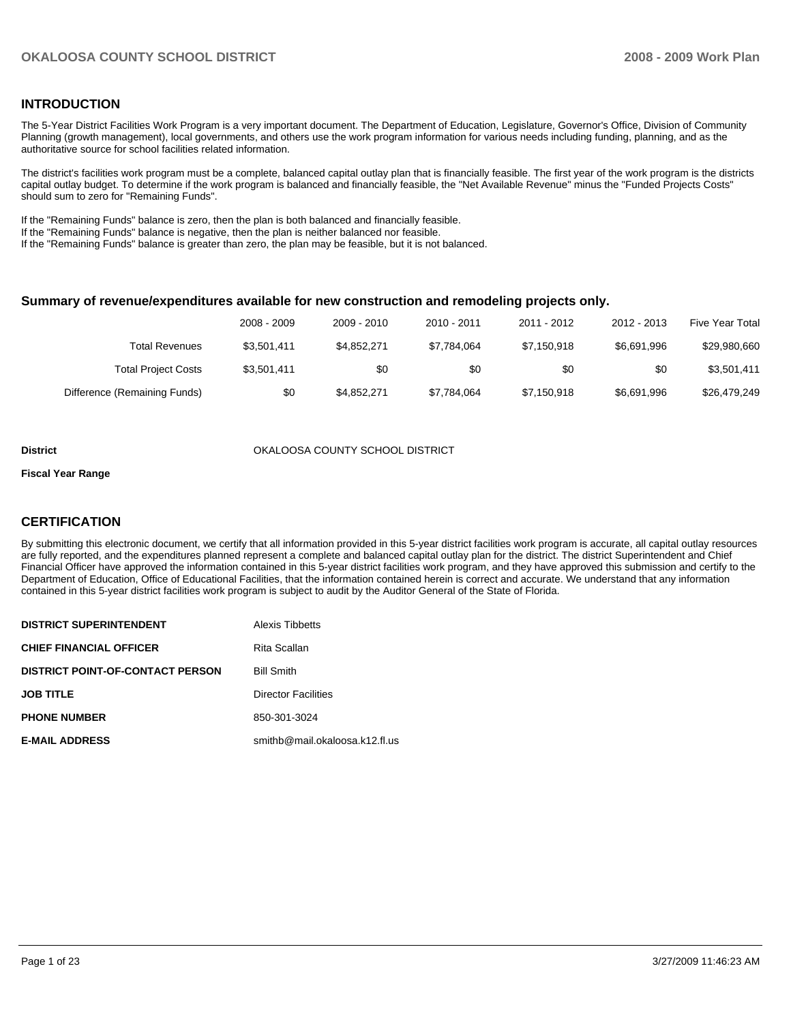## **INTRODUCTION**

The 5-Year District Facilities Work Program is a very important document. The Department of Education, Legislature, Governor's Office, Division of Community Planning (growth management), local governments, and others use the work program information for various needs including funding, planning, and as the authoritative source for school facilities related information.

The district's facilities work program must be a complete, balanced capital outlay plan that is financially feasible. The first year of the work program is the districts capital outlay budget. To determine if the work program is balanced and financially feasible, the "Net Available Revenue" minus the "Funded Projects Costs" should sum to zero for "Remaining Funds".

If the "Remaining Funds" balance is zero, then the plan is both balanced and financially feasible.

If the "Remaining Funds" balance is negative, then the plan is neither balanced nor feasible.

If the "Remaining Funds" balance is greater than zero, the plan may be feasible, but it is not balanced.

#### **Summary of revenue/expenditures available for new construction and remodeling projects only.**

|                              | 2008 - 2009 | 2009 - 2010 | 2010 - 2011 | 2011 - 2012 | 2012 - 2013 | <b>Five Year Total</b> |
|------------------------------|-------------|-------------|-------------|-------------|-------------|------------------------|
| Total Revenues               | \$3.501.411 | \$4,852,271 | \$7.784.064 | \$7,150,918 | \$6.691.996 | \$29,980,660           |
| <b>Total Project Costs</b>   | \$3.501.411 | \$0         | \$0         | \$0         | \$0         | \$3,501,411            |
| Difference (Remaining Funds) | \$0         | \$4,852,271 | \$7,784,064 | \$7,150,918 | \$6,691,996 | \$26,479,249           |

#### **District COUNTY SCHOOL DISTRICT COUNTY SCHOOL DISTRICT**

#### **Fiscal Year Range**

### **CERTIFICATION**

By submitting this electronic document, we certify that all information provided in this 5-year district facilities work program is accurate, all capital outlay resources are fully reported, and the expenditures planned represent a complete and balanced capital outlay plan for the district. The district Superintendent and Chief Financial Officer have approved the information contained in this 5-year district facilities work program, and they have approved this submission and certify to the Department of Education, Office of Educational Facilities, that the information contained herein is correct and accurate. We understand that any information contained in this 5-year district facilities work program is subject to audit by the Auditor General of the State of Florida.

| <b>DISTRICT SUPERINTENDENT</b>          | Alexis Tibbetts                |
|-----------------------------------------|--------------------------------|
| <b>CHIEF FINANCIAL OFFICER</b>          | Rita Scallan                   |
| <b>DISTRICT POINT-OF-CONTACT PERSON</b> | <b>Bill Smith</b>              |
| <b>JOB TITLE</b>                        | <b>Director Facilities</b>     |
| <b>PHONE NUMBER</b>                     | 850-301-3024                   |
| <b>E-MAIL ADDRESS</b>                   | smithb@mail.okaloosa.k12.fl.us |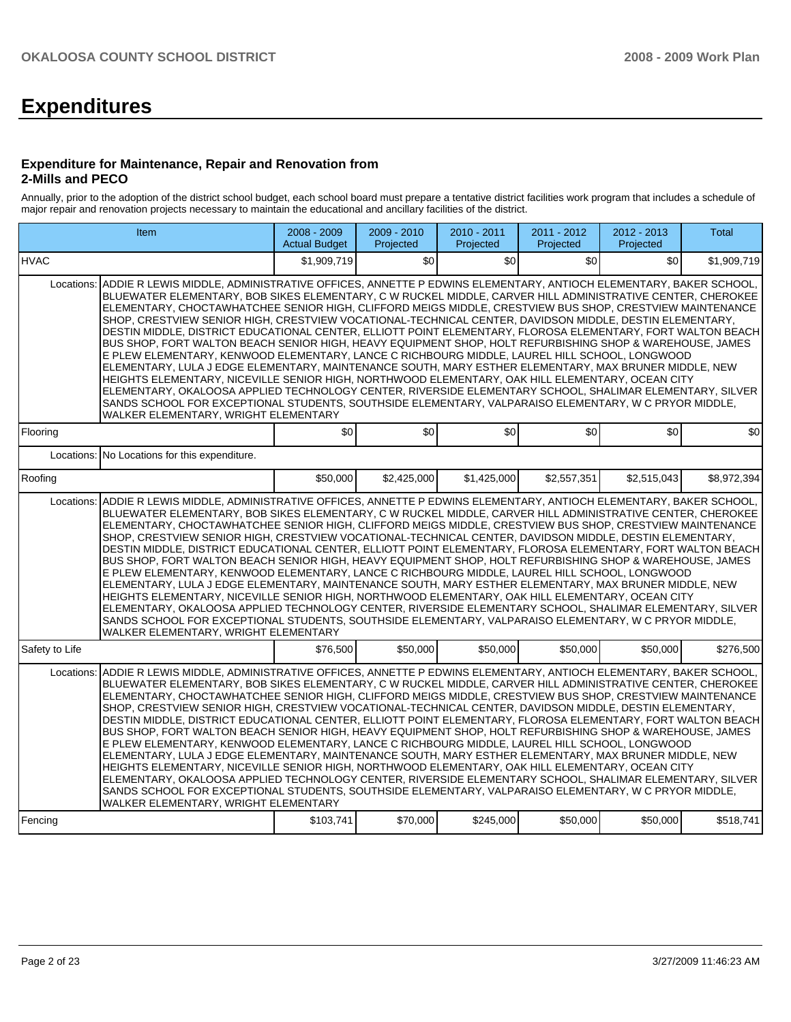# **Expenditures**

#### **Expenditure for Maintenance, Repair and Renovation from 2-Mills and PECO**

Annually, prior to the adoption of the district school budget, each school board must prepare a tentative district facilities work program that includes a schedule of major repair and renovation projects necessary to maintain the educational and ancillary facilities of the district.

| Item                                                                                                                                                                                                                                                                                                                                                                                                                                                                                                                                                                                                                                                                                                                                                                                                                                                                                                                                                                                                                                                                                                                                                                                                                                                                  | 2008 - 2009<br><b>Actual Budget</b>                                                                                                                                                                                                                                                                                                                                                                                                                                                                                                                                                                                                                                                                                                                                                                                                                                                                                                                                                                                                                                                                                                                                                                                        | 2009 - 2010<br>Projected | 2010 - 2011<br>Projected | 2011 - 2012<br>Projected | 2012 - 2013<br>Projected | <b>Total</b> |  |  |
|-----------------------------------------------------------------------------------------------------------------------------------------------------------------------------------------------------------------------------------------------------------------------------------------------------------------------------------------------------------------------------------------------------------------------------------------------------------------------------------------------------------------------------------------------------------------------------------------------------------------------------------------------------------------------------------------------------------------------------------------------------------------------------------------------------------------------------------------------------------------------------------------------------------------------------------------------------------------------------------------------------------------------------------------------------------------------------------------------------------------------------------------------------------------------------------------------------------------------------------------------------------------------|----------------------------------------------------------------------------------------------------------------------------------------------------------------------------------------------------------------------------------------------------------------------------------------------------------------------------------------------------------------------------------------------------------------------------------------------------------------------------------------------------------------------------------------------------------------------------------------------------------------------------------------------------------------------------------------------------------------------------------------------------------------------------------------------------------------------------------------------------------------------------------------------------------------------------------------------------------------------------------------------------------------------------------------------------------------------------------------------------------------------------------------------------------------------------------------------------------------------------|--------------------------|--------------------------|--------------------------|--------------------------|--------------|--|--|
| <b>HVAC</b>                                                                                                                                                                                                                                                                                                                                                                                                                                                                                                                                                                                                                                                                                                                                                                                                                                                                                                                                                                                                                                                                                                                                                                                                                                                           | \$1.909.719                                                                                                                                                                                                                                                                                                                                                                                                                                                                                                                                                                                                                                                                                                                                                                                                                                                                                                                                                                                                                                                                                                                                                                                                                | \$0                      | \$0                      | \$0                      | \$0                      | \$1,909,719  |  |  |
| Locations:<br>ADDIE R LEWIS MIDDLE, ADMINISTRATIVE OFFICES, ANNETTE P EDWINS ELEMENTARY, ANTIOCH ELEMENTARY, BAKER SCHOOL,<br>BLUEWATER ELEMENTARY, BOB SIKES ELEMENTARY, C W RUCKEL MIDDLE, CARVER HILL ADMINISTRATIVE CENTER, CHEROKEE<br>ELEMENTARY, CHOCTAWHATCHEE SENIOR HIGH, CLIFFORD MEIGS MIDDLE, CRESTVIEW BUS SHOP, CRESTVIEW MAINTENANCE<br>SHOP, CRESTVIEW SENIOR HIGH, CRESTVIEW VOCATIONAL-TECHNICAL CENTER, DAVIDSON MIDDLE, DESTIN ELEMENTARY,<br>DESTIN MIDDLE, DISTRICT EDUCATIONAL CENTER, ELLIOTT POINT ELEMENTARY, FLOROSA ELEMENTARY, FORT WALTON BEACH<br>BUS SHOP, FORT WALTON BEACH SENIOR HIGH, HEAVY EQUIPMENT SHOP, HOLT REFURBISHING SHOP & WAREHOUSE, JAMES<br>E PLEW ELEMENTARY. KENWOOD ELEMENTARY. LANCE C RICHBOURG MIDDLE. LAUREL HILL SCHOOL. LONGWOOD<br>ELEMENTARY, LULA J EDGE ELEMENTARY, MAINTENANCE SOUTH, MARY ESTHER ELEMENTARY, MAX BRUNER MIDDLE, NEW<br>HEIGHTS ELEMENTARY, NICEVILLE SENIOR HIGH, NORTHWOOD ELEMENTARY, OAK HILL ELEMENTARY, OCEAN CITY<br>ELEMENTARY, OKALOOSA APPLIED TECHNOLOGY CENTER, RIVERSIDE ELEMENTARY SCHOOL, SHALIMAR ELEMENTARY, SILVER<br>SANDS SCHOOL FOR EXCEPTIONAL STUDENTS, SOUTHSIDE ELEMENTARY, VALPARAISO ELEMENTARY, W C PRYOR MIDDLE,<br>WALKER ELEMENTARY, WRIGHT ELEMENTARY |                                                                                                                                                                                                                                                                                                                                                                                                                                                                                                                                                                                                                                                                                                                                                                                                                                                                                                                                                                                                                                                                                                                                                                                                                            |                          |                          |                          |                          |              |  |  |
| Flooring                                                                                                                                                                                                                                                                                                                                                                                                                                                                                                                                                                                                                                                                                                                                                                                                                                                                                                                                                                                                                                                                                                                                                                                                                                                              | \$0                                                                                                                                                                                                                                                                                                                                                                                                                                                                                                                                                                                                                                                                                                                                                                                                                                                                                                                                                                                                                                                                                                                                                                                                                        | \$0                      | \$0                      | \$0                      | \$0                      | \$0          |  |  |
| No Locations for this expenditure.<br>Locations:                                                                                                                                                                                                                                                                                                                                                                                                                                                                                                                                                                                                                                                                                                                                                                                                                                                                                                                                                                                                                                                                                                                                                                                                                      |                                                                                                                                                                                                                                                                                                                                                                                                                                                                                                                                                                                                                                                                                                                                                                                                                                                                                                                                                                                                                                                                                                                                                                                                                            |                          |                          |                          |                          |              |  |  |
| Roofing                                                                                                                                                                                                                                                                                                                                                                                                                                                                                                                                                                                                                                                                                                                                                                                                                                                                                                                                                                                                                                                                                                                                                                                                                                                               | \$50,000                                                                                                                                                                                                                                                                                                                                                                                                                                                                                                                                                                                                                                                                                                                                                                                                                                                                                                                                                                                                                                                                                                                                                                                                                   | \$2,425,000              | \$1,425,000              | \$2,557,351              | \$2,515,043              | \$8,972,394  |  |  |
| WALKER ELEMENTARY, WRIGHT ELEMENTARY                                                                                                                                                                                                                                                                                                                                                                                                                                                                                                                                                                                                                                                                                                                                                                                                                                                                                                                                                                                                                                                                                                                                                                                                                                  | Locations: ADDIE R LEWIS MIDDLE, ADMINISTRATIVE OFFICES, ANNETTE P EDWINS ELEMENTARY, ANTIOCH ELEMENTARY, BAKER SCHOOL,<br>BLUEWATER ELEMENTARY. BOB SIKES ELEMENTARY. C W RUCKEL MIDDLE. CARVER HILL ADMINISTRATIVE CENTER. CHEROKEE<br>ELEMENTARY, CHOCTAWHATCHEE SENIOR HIGH, CLIFFORD MEIGS MIDDLE, CRESTVIEW BUS SHOP, CRESTVIEW MAINTENANCE<br>SHOP, CRESTVIEW SENIOR HIGH, CRESTVIEW VOCATIONAL-TECHNICAL CENTER, DAVIDSON MIDDLE, DESTIN ELEMENTARY,<br>DESTIN MIDDLE, DISTRICT EDUCATIONAL CENTER, ELLIOTT POINT ELEMENTARY, FLOROSA ELEMENTARY, FORT WALTON BEACH<br>BUS SHOP, FORT WALTON BEACH SENIOR HIGH, HEAVY EQUIPMENT SHOP, HOLT REFURBISHING SHOP & WAREHOUSE, JAMES<br>E PLEW ELEMENTARY, KENWOOD ELEMENTARY, LANCE C RICHBOURG MIDDLE, LAUREL HILL SCHOOL, LONGWOOD<br>ELEMENTARY, LULA J EDGE ELEMENTARY, MAINTENANCE SOUTH, MARY ESTHER ELEMENTARY, MAX BRUNER MIDDLE, NEW<br>HEIGHTS ELEMENTARY. NICEVILLE SENIOR HIGH. NORTHWOOD ELEMENTARY. OAK HILL ELEMENTARY. OCEAN CITY<br>ELEMENTARY, OKALOOSA APPLIED TECHNOLOGY CENTER, RIVERSIDE ELEMENTARY SCHOOL, SHALIMAR ELEMENTARY, SILVER<br>SANDS SCHOOL FOR EXCEPTIONAL STUDENTS, SOUTHSIDE ELEMENTARY, VALPARAISO ELEMENTARY, W C PRYOR MIDDLE, |                          |                          |                          |                          |              |  |  |
| Safety to Life                                                                                                                                                                                                                                                                                                                                                                                                                                                                                                                                                                                                                                                                                                                                                                                                                                                                                                                                                                                                                                                                                                                                                                                                                                                        | \$76,500                                                                                                                                                                                                                                                                                                                                                                                                                                                                                                                                                                                                                                                                                                                                                                                                                                                                                                                                                                                                                                                                                                                                                                                                                   | \$50,000                 | \$50,000                 | \$50,000                 | \$50,000                 | \$276,500    |  |  |
| ADDIE R LEWIS MIDDLE, ADMINISTRATIVE OFFICES, ANNETTE P EDWINS ELEMENTARY, ANTIOCH ELEMENTARY, BAKER SCHOOL,<br>Locations:<br>BLUEWATER ELEMENTARY, BOB SIKES ELEMENTARY, C W RUCKEL MIDDLE, CARVER HILL ADMINISTRATIVE CENTER, CHEROKEE<br>ELEMENTARY. CHOCTAWHATCHEE SENIOR HIGH. CLIFFORD MEIGS MIDDLE. CRESTVIEW BUS SHOP. CRESTVIEW MAINTENANCE<br>SHOP, CRESTVIEW SENIOR HIGH, CRESTVIEW VOCATIONAL-TECHNICAL CENTER, DAVIDSON MIDDLE, DESTIN ELEMENTARY,<br>DESTIN MIDDLE, DISTRICT EDUCATIONAL CENTER, ELLIOTT POINT ELEMENTARY, FLOROSA ELEMENTARY, FORT WALTON BEACH<br>BUS SHOP, FORT WALTON BEACH SENIOR HIGH, HEAVY EQUIPMENT SHOP, HOLT REFURBISHING SHOP & WAREHOUSE, JAMES<br>E PLEW ELEMENTARY, KENWOOD ELEMENTARY, LANCE C RICHBOURG MIDDLE, LAUREL HILL SCHOOL, LONGWOOD<br>ELEMENTARY, LULA J EDGE ELEMENTARY, MAINTENANCE SOUTH, MARY ESTHER ELEMENTARY, MAX BRUNER MIDDLE, NEW<br>HEIGHTS ELEMENTARY, NICEVILLE SENIOR HIGH, NORTHWOOD ELEMENTARY, OAK HILL ELEMENTARY, OCEAN CITY<br>ELEMENTARY, OKALOOSA APPLIED TECHNOLOGY CENTER, RIVERSIDE ELEMENTARY SCHOOL, SHALIMAR ELEMENTARY, SILVER<br>SANDS SCHOOL FOR EXCEPTIONAL STUDENTS, SOUTHSIDE ELEMENTARY, VALPARAISO ELEMENTARY, W C PRYOR MIDDLE,<br>WALKER ELEMENTARY, WRIGHT ELEMENTARY |                                                                                                                                                                                                                                                                                                                                                                                                                                                                                                                                                                                                                                                                                                                                                                                                                                                                                                                                                                                                                                                                                                                                                                                                                            |                          |                          |                          |                          |              |  |  |
| Fencing                                                                                                                                                                                                                                                                                                                                                                                                                                                                                                                                                                                                                                                                                                                                                                                                                                                                                                                                                                                                                                                                                                                                                                                                                                                               | \$103,741                                                                                                                                                                                                                                                                                                                                                                                                                                                                                                                                                                                                                                                                                                                                                                                                                                                                                                                                                                                                                                                                                                                                                                                                                  | \$70,000                 | \$245,000                | \$50,000                 | \$50,000                 | \$518,741    |  |  |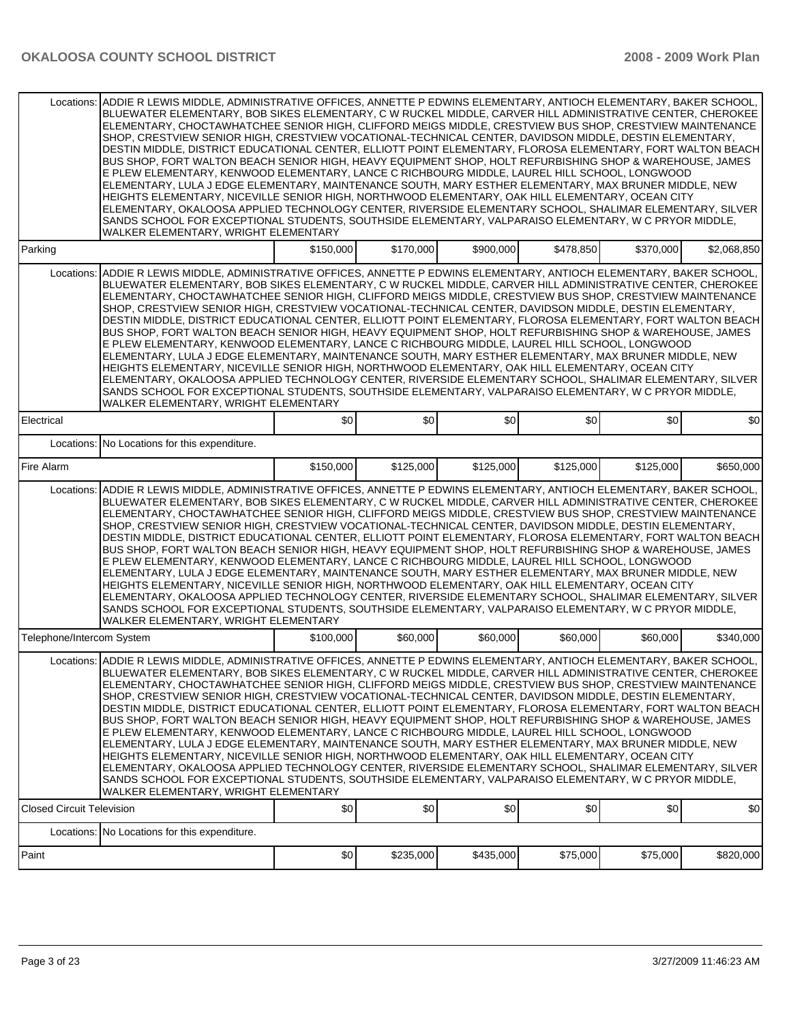| Locations:                       | ADDIE R LEWIS MIDDLE, ADMINISTRATIVE OFFICES, ANNETTE P EDWINS ELEMENTARY, ANTIOCH ELEMENTARY, BAKER SCHOOL,<br>BLUEWATER ELEMENTARY, BOB SIKES ELEMENTARY, C W RUCKEL MIDDLE, CARVER HILL ADMINISTRATIVE CENTER, CHEROKEE<br>ELEMENTARY, CHOCTAWHATCHEE SENIOR HIGH, CLIFFORD MEIGS MIDDLE, CRESTVIEW BUS SHOP, CRESTVIEW MAINTENANCE<br>SHOP, CRESTVIEW SENIOR HIGH, CRESTVIEW VOCATIONAL-TECHNICAL CENTER, DAVIDSON MIDDLE, DESTIN ELEMENTARY,<br>DESTIN MIDDLE, DISTRICT EDUCATIONAL CENTER, ELLIOTT POINT ELEMENTARY, FLOROSA ELEMENTARY, FORT WALTON BEACH<br>BUS SHOP, FORT WALTON BEACH SENIOR HIGH, HEAVY EQUIPMENT SHOP, HOLT REFURBISHING SHOP & WAREHOUSE, JAMES<br>E PLEW ELEMENTARY, KENWOOD ELEMENTARY, LANCE C RICHBOURG MIDDLE, LAUREL HILL SCHOOL, LONGWOOD<br>ELEMENTARY, LULA J EDGE ELEMENTARY, MAINTENANCE SOUTH, MARY ESTHER ELEMENTARY, MAX BRUNER MIDDLE, NEW<br>HEIGHTS ELEMENTARY, NICEVILLE SENIOR HIGH, NORTHWOOD ELEMENTARY, OAK HILL ELEMENTARY, OCEAN CITY<br>ELEMENTARY, OKALOOSA APPLIED TECHNOLOGY CENTER, RIVERSIDE ELEMENTARY SCHOOL, SHALIMAR ELEMENTARY, SILVER<br>SANDS SCHOOL FOR EXCEPTIONAL STUDENTS, SOUTHSIDE ELEMENTARY, VALPARAISO ELEMENTARY, W C PRYOR MIDDLE,<br>WALKER ELEMENTARY, WRIGHT ELEMENTARY            |           |           |           |           |           |             |
|----------------------------------|--------------------------------------------------------------------------------------------------------------------------------------------------------------------------------------------------------------------------------------------------------------------------------------------------------------------------------------------------------------------------------------------------------------------------------------------------------------------------------------------------------------------------------------------------------------------------------------------------------------------------------------------------------------------------------------------------------------------------------------------------------------------------------------------------------------------------------------------------------------------------------------------------------------------------------------------------------------------------------------------------------------------------------------------------------------------------------------------------------------------------------------------------------------------------------------------------------------------------------------------------------------------|-----------|-----------|-----------|-----------|-----------|-------------|
| Parking                          |                                                                                                                                                                                                                                                                                                                                                                                                                                                                                                                                                                                                                                                                                                                                                                                                                                                                                                                                                                                                                                                                                                                                                                                                                                                                    | \$150,000 | \$170,000 | \$900,000 | \$478,850 | \$370,000 | \$2,068,850 |
| Locations:                       | ADDIE R LEWIS MIDDLE, ADMINISTRATIVE OFFICES, ANNETTE P EDWINS ELEMENTARY, ANTIOCH ELEMENTARY, BAKER SCHOOL,<br>BLUEWATER ELEMENTARY, BOB SIKES ELEMENTARY, C W RUCKEL MIDDLE, CARVER HILL ADMINISTRATIVE CENTER, CHEROKEE<br>ELEMENTARY, CHOCTAWHATCHEE SENIOR HIGH, CLIFFORD MEIGS MIDDLE, CRESTVIEW BUS SHOP, CRESTVIEW MAINTENANCE<br>SHOP, CRESTVIEW SENIOR HIGH, CRESTVIEW VOCATIONAL-TECHNICAL CENTER, DAVIDSON MIDDLE, DESTIN ELEMENTARY,<br>DESTIN MIDDLE, DISTRICT EDUCATIONAL CENTER, ELLIOTT POINT ELEMENTARY, FLOROSA ELEMENTARY, FORT WALTON BEACH<br>BUS SHOP, FORT WALTON BEACH SENIOR HIGH, HEAVY EQUIPMENT SHOP, HOLT REFURBISHING SHOP & WAREHOUSE, JAMES<br>E PLEW ELEMENTARY, KENWOOD ELEMENTARY, LANCE C RICHBOURG MIDDLE, LAUREL HILL SCHOOL, LONGWOOD<br>ELEMENTARY, LULA J EDGE ELEMENTARY, MAINTENANCE SOUTH, MARY ESTHER ELEMENTARY, MAX BRUNER MIDDLE, NEW<br>HEIGHTS ELEMENTARY, NICEVILLE SENIOR HIGH, NORTHWOOD ELEMENTARY, OAK HILL ELEMENTARY, OCEAN CITY<br>ELEMENTARY, OKALOOSA APPLIED TECHNOLOGY CENTER, RIVERSIDE ELEMENTARY SCHOOL, SHALIMAR ELEMENTARY, SILVER<br>SANDS SCHOOL FOR EXCEPTIONAL STUDENTS, SOUTHSIDE ELEMENTARY, VALPARAISO ELEMENTARY, W C PRYOR MIDDLE,<br>WALKER ELEMENTARY, WRIGHT ELEMENTARY            |           |           |           |           |           |             |
| Electrical                       |                                                                                                                                                                                                                                                                                                                                                                                                                                                                                                                                                                                                                                                                                                                                                                                                                                                                                                                                                                                                                                                                                                                                                                                                                                                                    | \$0       | \$0       | \$0       | \$0       | \$0       | \$0         |
|                                  | Locations: No Locations for this expenditure.                                                                                                                                                                                                                                                                                                                                                                                                                                                                                                                                                                                                                                                                                                                                                                                                                                                                                                                                                                                                                                                                                                                                                                                                                      |           |           |           |           |           |             |
| Fire Alarm                       |                                                                                                                                                                                                                                                                                                                                                                                                                                                                                                                                                                                                                                                                                                                                                                                                                                                                                                                                                                                                                                                                                                                                                                                                                                                                    | \$150,000 | \$125,000 | \$125,000 | \$125,000 | \$125,000 | \$650,000   |
| Locations:                       | ADDIE R LEWIS MIDDLE, ADMINISTRATIVE OFFICES, ANNETTE P EDWINS ELEMENTARY, ANTIOCH ELEMENTARY, BAKER SCHOOL,<br>BLUEWATER ELEMENTARY, BOB SIKES ELEMENTARY, C W RUCKEL MIDDLE, CARVER HILL ADMINISTRATIVE CENTER, CHEROKEE<br>ELEMENTARY, CHOCTAWHATCHEE SENIOR HIGH, CLIFFORD MEIGS MIDDLE, CRESTVIEW BUS SHOP, CRESTVIEW MAINTENANCE<br>SHOP, CRESTVIEW SENIOR HIGH, CRESTVIEW VOCATIONAL-TECHNICAL CENTER, DAVIDSON MIDDLE, DESTIN ELEMENTARY,<br>DESTIN MIDDLE, DISTRICT EDUCATIONAL CENTER, ELLIOTT POINT ELEMENTARY, FLOROSA ELEMENTARY, FORT WALTON BEACH<br>BUS SHOP, FORT WALTON BEACH SENIOR HIGH, HEAVY EQUIPMENT SHOP, HOLT REFURBISHING SHOP & WAREHOUSE, JAMES<br>E PLEW ELEMENTARY, KENWOOD ELEMENTARY, LANCE C RICHBOURG MIDDLE, LAUREL HILL SCHOOL, LONGWOOD<br>ELEMENTARY, LULA J EDGE ELEMENTARY, MAINTENANCE SOUTH, MARY ESTHER ELEMENTARY, MAX BRUNER MIDDLE, NEW<br>HEIGHTS ELEMENTARY, NICEVILLE SENIOR HIGH, NORTHWOOD ELEMENTARY, OAK HILL ELEMENTARY, OCEAN CITY<br>ELEMENTARY, OKALOOSA APPLIED TECHNOLOGY CENTER, RIVERSIDE ELEMENTARY SCHOOL, SHALIMAR ELEMENTARY, SILVER<br>SANDS SCHOOL FOR EXCEPTIONAL STUDENTS, SOUTHSIDE ELEMENTARY, VALPARAISO ELEMENTARY, W C PRYOR MIDDLE,<br>WALKER ELEMENTARY, WRIGHT ELEMENTARY            |           |           |           |           |           |             |
| Telephone/Intercom System        |                                                                                                                                                                                                                                                                                                                                                                                                                                                                                                                                                                                                                                                                                                                                                                                                                                                                                                                                                                                                                                                                                                                                                                                                                                                                    | \$100,000 | \$60,000  | \$60,000  | \$60,000  | \$60,000  | \$340,000   |
|                                  | Locations: ADDIE R LEWIS MIDDLE, ADMINISTRATIVE OFFICES, ANNETTE P EDWINS ELEMENTARY, ANTIOCH ELEMENTARY, BAKER SCHOOL,<br>BLUEWATER ELEMENTARY, BOB SIKES ELEMENTARY, C W RUCKEL MIDDLE, CARVER HILL ADMINISTRATIVE CENTER, CHEROKEE<br>ELEMENTARY, CHOCTAWHATCHEE SENIOR HIGH, CLIFFORD MEIGS MIDDLE, CRESTVIEW BUS SHOP, CRESTVIEW MAINTENANCE<br>SHOP, CRESTVIEW SENIOR HIGH, CRESTVIEW VOCATIONAL-TECHNICAL CENTER, DAVIDSON MIDDLE, DESTIN ELEMENTARY,<br>DESTIN MIDDLE, DISTRICT EDUCATIONAL CENTER, ELLIOTT POINT ELEMENTARY, FLOROSA ELEMENTARY, FORT WALTON BEACH<br>BUS SHOP, FORT WALTON BEACH SENIOR HIGH, HEAVY EQUIPMENT SHOP, HOLT REFURBISHING SHOP & WAREHOUSE, JAMES<br>E PLEW ELEMENTARY, KENWOOD ELEMENTARY, LANCE C RICHBOURG MIDDLE, LAUREL HILL SCHOOL, LONGWOOD<br>ELEMENTARY, LULA J EDGE ELEMENTARY, MAINTENANCE SOUTH, MARY ESTHER ELEMENTARY, MAX BRUNER MIDDLE, NEW<br>HEIGHTS ELEMENTARY, NICEVILLE SENIOR HIGH, NORTHWOOD ELEMENTARY, OAK HILL ELEMENTARY, OCEAN CITY<br>ELEMENTARY, OKALOOSA APPLIED TECHNOLOGY CENTER, RIVERSIDE ELEMENTARY SCHOOL, SHALIMAR ELEMENTARY, SILVER<br>SANDS SCHOOL FOR EXCEPTIONAL STUDENTS, SOUTHSIDE ELEMENTARY, VALPARAISO ELEMENTARY, W C PRYOR MIDDLE,<br>WALKER ELEMENTARY, WRIGHT ELEMENTARY |           |           |           |           |           |             |
| <b>Closed Circuit Television</b> |                                                                                                                                                                                                                                                                                                                                                                                                                                                                                                                                                                                                                                                                                                                                                                                                                                                                                                                                                                                                                                                                                                                                                                                                                                                                    | \$0       | \$0       | \$0       | \$0       | \$0       | \$0         |
|                                  | Locations: No Locations for this expenditure.                                                                                                                                                                                                                                                                                                                                                                                                                                                                                                                                                                                                                                                                                                                                                                                                                                                                                                                                                                                                                                                                                                                                                                                                                      |           |           |           |           |           |             |
| Paint                            |                                                                                                                                                                                                                                                                                                                                                                                                                                                                                                                                                                                                                                                                                                                                                                                                                                                                                                                                                                                                                                                                                                                                                                                                                                                                    | \$0       | \$235,000 | \$435,000 | \$75,000  | \$75,000  | \$820,000   |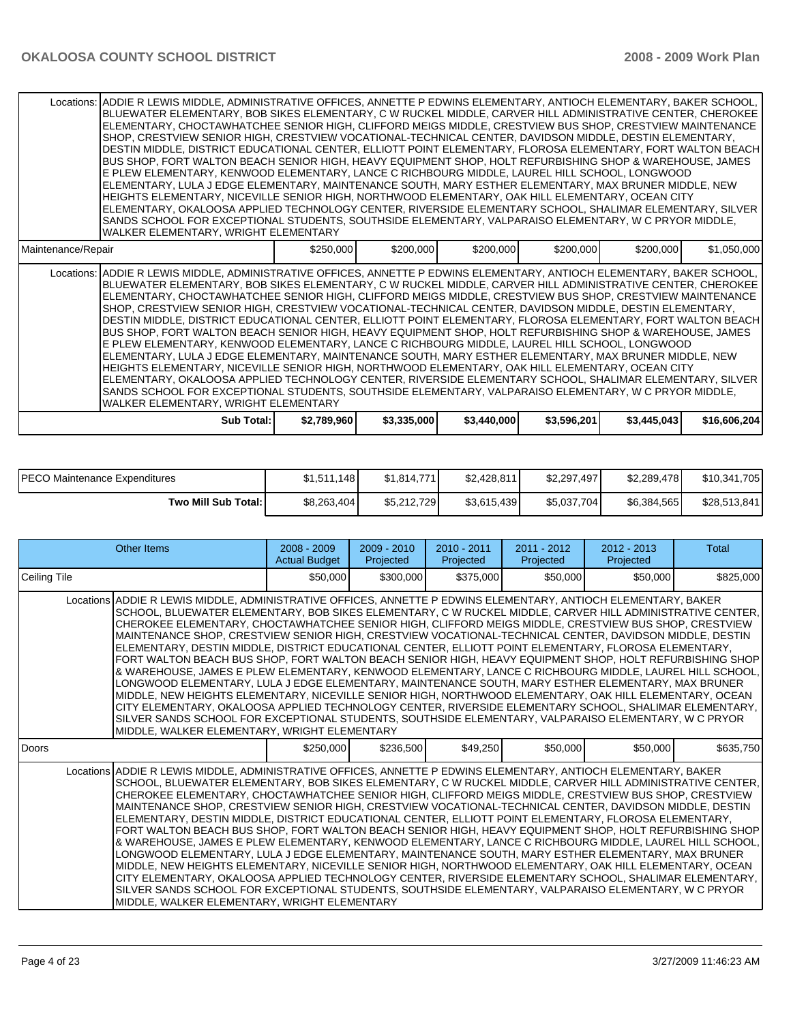|                    | Locations: ADDIE R LEWIS MIDDLE, ADMINISTRATIVE OFFICES, ANNETTE P EDWINS ELEMENTARY, ANTIOCH ELEMENTARY, BAKER SCHOOL,<br>BLUEWATER ELEMENTARY, BOB SIKES ELEMENTARY, C W RUCKEL MIDDLE, CARVER HILL ADMINISTRATIVE CENTER, CHEROKEE<br>IELEMENTARY. CHOCTAWHATCHEE SENIOR HIGH. CLIFFORD MEIGS MIDDLE. CRESTVIEW BUS SHOP. CRESTVIEW MAINTENANCE<br>SHOP, CRESTVIEW SENIOR HIGH, CRESTVIEW VOCATIONAL-TECHNICAL CENTER, DAVIDSON MIDDLE, DESTIN ELEMENTARY,<br>DESTIN MIDDLE, DISTRICT EDUCATIONAL CENTER, ELLIOTT POINT ELEMENTARY, FLOROSA ELEMENTARY, FORT WALTON BEACH  <br>BUS SHOP, FORT WALTON BEACH SENIOR HIGH, HEAVY EQUIPMENT SHOP, HOLT REFURBISHING SHOP & WAREHOUSE, JAMES<br>E PLEW ELEMENTARY, KENWOOD ELEMENTARY, LANCE C RICHBOURG MIDDLE, LAUREL HILL SCHOOL, LONGWOOD<br>ELEMENTARY, LULA J EDGE ELEMENTARY, MAINTENANCE SOUTH, MARY ESTHER ELEMENTARY, MAX BRUNER MIDDLE, NEW<br>HEIGHTS ELEMENTARY, NICEVILLE SENIOR HIGH, NORTHWOOD ELEMENTARY, OAK HILL ELEMENTARY, OCEAN CITY<br>ELEMENTARY, OKALOOSA APPLIED TECHNOLOGY CENTER, RIVERSIDE ELEMENTARY SCHOOL, SHALIMAR ELEMENTARY, SILVER<br>SANDS SCHOOL FOR EXCEPTIONAL STUDENTS, SOUTHSIDE ELEMENTARY, VALPARAISO ELEMENTARY, W C PRYOR MIDDLE,<br>WALKER ELEMENTARY, WRIGHT ELEMENTARY  |             |             |             |             |             |              |
|--------------------|------------------------------------------------------------------------------------------------------------------------------------------------------------------------------------------------------------------------------------------------------------------------------------------------------------------------------------------------------------------------------------------------------------------------------------------------------------------------------------------------------------------------------------------------------------------------------------------------------------------------------------------------------------------------------------------------------------------------------------------------------------------------------------------------------------------------------------------------------------------------------------------------------------------------------------------------------------------------------------------------------------------------------------------------------------------------------------------------------------------------------------------------------------------------------------------------------------------------------------------------------------------------|-------------|-------------|-------------|-------------|-------------|--------------|
| Maintenance/Repair |                                                                                                                                                                                                                                                                                                                                                                                                                                                                                                                                                                                                                                                                                                                                                                                                                                                                                                                                                                                                                                                                                                                                                                                                                                                                        | \$250,000   | \$200,000   | \$200,000   | \$200,000   | \$200,000   | \$1,050,000  |
|                    | Locations: ADDIE R LEWIS MIDDLE, ADMINISTRATIVE OFFICES, ANNETTE P EDWINS ELEMENTARY, ANTIOCH ELEMENTARY, BAKER SCHOOL,<br>BLUEWATER ELEMENTARY, BOB SIKES ELEMENTARY, C W RUCKEL MIDDLE, CARVER HILL ADMINISTRATIVE CENTER, CHEROKEE<br>ELEMENTARY, CHOCTAWHATCHEE SENIOR HIGH, CLIFFORD MEIGS MIDDLE, CRESTVIEW BUS SHOP, CRESTVIEW MAINTENANCE<br>SHOP, CRESTVIEW SENIOR HIGH, CRESTVIEW VOCATIONAL-TECHNICAL CENTER, DAVIDSON MIDDLE, DESTIN ELEMENTARY,<br> DESTIN MIDDLE, DISTRICT EDUCATIONAL CENTER, ELLIOTT POINT ELEMENTARY, FLOROSA ELEMENTARY, FORT WALTON BEACH  <br>BUS SHOP, FORT WALTON BEACH SENIOR HIGH, HEAVY EQUIPMENT SHOP, HOLT REFURBISHING SHOP & WAREHOUSE, JAMES<br>E PLEW ELEMENTARY. KENWOOD ELEMENTARY. LANCE C RICHBOURG MIDDLE. LAUREL HILL SCHOOL. LONGWOOD<br>IELEMENTARY, LULA J EDGE ELEMENTARY, MAINTENANCE SOUTH, MARY ESTHER ELEMENTARY, MAX BRUNER MIDDLE, NEW<br>HEIGHTS ELEMENTARY, NICEVILLE SENIOR HIGH, NORTHWOOD ELEMENTARY, OAK HILL ELEMENTARY, OCEAN CITY<br>ELEMENTARY, OKALOOSA APPLIED TECHNOLOGY CENTER, RIVERSIDE ELEMENTARY SCHOOL, SHALIMAR ELEMENTARY, SILVER<br>SANDS SCHOOL FOR EXCEPTIONAL STUDENTS. SOUTHSIDE ELEMENTARY, VALPARAISO ELEMENTARY, W C PRYOR MIDDLE,<br>WALKER ELEMENTARY, WRIGHT ELEMENTARY |             |             |             |             |             |              |
|                    | Sub Total: I                                                                                                                                                                                                                                                                                                                                                                                                                                                                                                                                                                                                                                                                                                                                                                                                                                                                                                                                                                                                                                                                                                                                                                                                                                                           | \$2,789,960 | \$3,335,000 | \$3,440,000 | \$3,596,201 | \$3,445,043 | \$16,606,204 |

| <b>PECO Maintenance Expenditures</b> | \$1.511.148 | \$1.814.771 | \$2,428,811 | \$2.297.497  | \$2,289,478 | \$10,341,705 |
|--------------------------------------|-------------|-------------|-------------|--------------|-------------|--------------|
| Two Mill Sub Total: I                | \$8,263,404 | \$5.212.729 | \$3,615,439 | \$5,037,704] | \$6,384,565 | \$28,513,841 |

| Other Items                                                                                                                                                                                                                                                                                                                                                                                                                                                                                                                                                                                                                                                                                                                                                                                                                                                                                                                                                                                                                                                                                                                                                                                                                                                         | $2008 - 2009$<br><b>Actual Budget</b> | $2009 - 2010$<br>Projected | $2010 - 2011$<br>Projected | $2011 - 2012$<br>Projected | $2012 - 2013$<br>Projected | Total     |
|---------------------------------------------------------------------------------------------------------------------------------------------------------------------------------------------------------------------------------------------------------------------------------------------------------------------------------------------------------------------------------------------------------------------------------------------------------------------------------------------------------------------------------------------------------------------------------------------------------------------------------------------------------------------------------------------------------------------------------------------------------------------------------------------------------------------------------------------------------------------------------------------------------------------------------------------------------------------------------------------------------------------------------------------------------------------------------------------------------------------------------------------------------------------------------------------------------------------------------------------------------------------|---------------------------------------|----------------------------|----------------------------|----------------------------|----------------------------|-----------|
| Ceiling Tile                                                                                                                                                                                                                                                                                                                                                                                                                                                                                                                                                                                                                                                                                                                                                                                                                                                                                                                                                                                                                                                                                                                                                                                                                                                        | \$50,000                              | \$300,000                  | \$375,000                  | \$50,000                   | \$50,000                   | \$825,000 |
| Locations ADDIE R LEWIS MIDDLE, ADMINISTRATIVE OFFICES, ANNETTE P EDWINS ELEMENTARY, ANTIOCH ELEMENTARY, BAKER<br>SCHOOL, BLUEWATER ELEMENTARY, BOB SIKES ELEMENTARY, C W RUCKEL MIDDLE, CARVER HILL ADMINISTRATIVE CENTER,<br>CHEROKEE ELEMENTARY, CHOCTAWHATCHEE SENIOR HIGH, CLIFFORD MEIGS MIDDLE, CRESTVIEW BUS SHOP, CRESTVIEW<br>MAINTENANCE SHOP, CRESTVIEW SENIOR HIGH, CRESTVIEW VOCATIONAL-TECHNICAL CENTER, DAVIDSON MIDDLE, DESTIN<br>ELEMENTARY, DESTIN MIDDLE, DISTRICT EDUCATIONAL CENTER, ELLIOTT POINT ELEMENTARY, FLOROSA ELEMENTARY,<br>FORT WALTON BEACH BUS SHOP, FORT WALTON BEACH SENIOR HIGH, HEAVY EQUIPMENT SHOP, HOLT REFURBISHING SHOP<br>& WAREHOUSE, JAMES E PLEW ELEMENTARY, KENWOOD ELEMENTARY, LANCE C RICHBOURG MIDDLE, LAUREL HILL SCHOOL,<br>LONGWOOD ELEMENTARY. LULA J EDGE ELEMENTARY. MAINTENANCE SOUTH. MARY ESTHER ELEMENTARY. MAX BRUNER<br>MIDDLE, NEW HEIGHTS ELEMENTARY, NICEVILLE SENIOR HIGH, NORTHWOOD ELEMENTARY, OAK HILL ELEMENTARY, OCEAN<br>CITY ELEMENTARY, OKALOOSA APPLIED TECHNOLOGY CENTER, RIVERSIDE ELEMENTARY SCHOOL, SHALIMAR ELEMENTARY,  <br>SILVER SANDS SCHOOL FOR EXCEPTIONAL STUDENTS, SOUTHSIDE ELEMENTARY, VALPARAISO ELEMENTARY, W C PRYOR<br>MIDDLE, WALKER ELEMENTARY, WRIGHT ELEMENTARY |                                       |                            |                            |                            |                            |           |
| l Doors                                                                                                                                                                                                                                                                                                                                                                                                                                                                                                                                                                                                                                                                                                                                                                                                                                                                                                                                                                                                                                                                                                                                                                                                                                                             | \$250,000                             | \$236,500                  | \$49,250                   | \$50,000                   | \$50,000                   | \$635,750 |
| Locations ADDIE R LEWIS MIDDLE, ADMINISTRATIVE OFFICES, ANNETTE P EDWINS ELEMENTARY, ANTIOCH ELEMENTARY, BAKER<br>SCHOOL. BLUEWATER ELEMENTARY. BOB SIKES ELEMENTARY. C W RUCKEL MIDDLE. CARVER HILL ADMINISTRATIVE CENTER.<br>CHEROKEE ELEMENTARY, CHOCTAWHATCHEE SENIOR HIGH, CLIFFORD MEIGS MIDDLE, CRESTVIEW BUS SHOP, CRESTVIEW<br>MAINTENANCE SHOP, CRESTVIEW SENIOR HIGH, CRESTVIEW VOCATIONAL-TECHNICAL CENTER, DAVIDSON MIDDLE, DESTIN<br>ELEMENTARY, DESTIN MIDDLE, DISTRICT EDUCATIONAL CENTER, ELLIOTT POINT ELEMENTARY, FLOROSA ELEMENTARY,<br>FORT WALTON BEACH BUS SHOP, FORT WALTON BEACH SENIOR HIGH, HEAVY EQUIPMENT SHOP, HOLT REFURBISHING SHOP<br>& WAREHOUSE, JAMES E PLEW ELEMENTARY, KENWOOD ELEMENTARY, LANCE C RICHBOURG MIDDLE, LAUREL HILL SCHOOL,<br>LONGWOOD ELEMENTARY, LULA J EDGE ELEMENTARY, MAINTENANCE SOUTH, MARY ESTHER ELEMENTARY, MAX BRUNER<br>MIDDLE, NEW HEIGHTS ELEMENTARY, NICEVILLE SENIOR HIGH, NORTHWOOD ELEMENTARY, OAK HILL ELEMENTARY, OCEAN<br>CITY ELEMENTARY, OKALOOSA APPLIED TECHNOLOGY CENTER, RIVERSIDE ELEMENTARY SCHOOL, SHALIMAR ELEMENTARY,  <br>SILVER SANDS SCHOOL FOR EXCEPTIONAL STUDENTS, SOUTHSIDE ELEMENTARY, VALPARAISO ELEMENTARY, W C PRYOR<br>MIDDLE, WALKER ELEMENTARY, WRIGHT ELEMENTARY |                                       |                            |                            |                            |                            |           |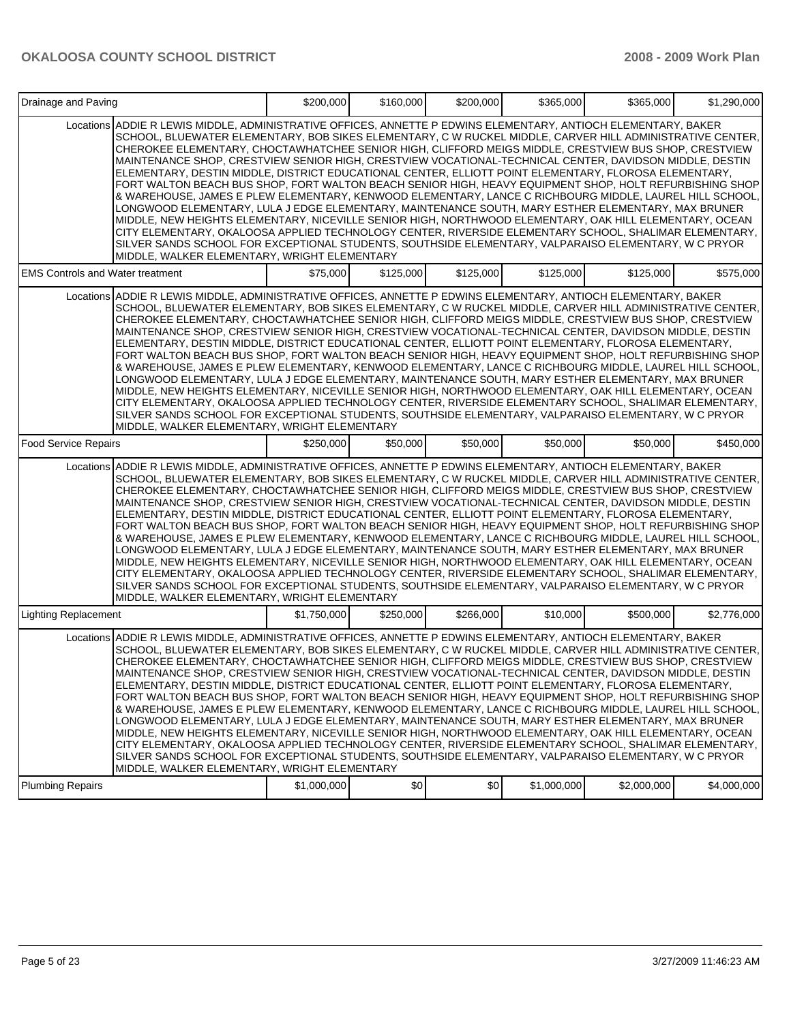| Drainage and Paving                     |                                                                                                                                                                                                                                                                                                                                                                                                                                                                                                                                                                                                                                                                                                                                                                                                                                                                                                                                                                                                                                                                                                                                                                                                                                                                     | \$200,000   | \$160,000 | \$200,000 | \$365,000   | \$365,000   | \$1,290,000 |
|-----------------------------------------|---------------------------------------------------------------------------------------------------------------------------------------------------------------------------------------------------------------------------------------------------------------------------------------------------------------------------------------------------------------------------------------------------------------------------------------------------------------------------------------------------------------------------------------------------------------------------------------------------------------------------------------------------------------------------------------------------------------------------------------------------------------------------------------------------------------------------------------------------------------------------------------------------------------------------------------------------------------------------------------------------------------------------------------------------------------------------------------------------------------------------------------------------------------------------------------------------------------------------------------------------------------------|-------------|-----------|-----------|-------------|-------------|-------------|
|                                         | Locations ADDIE R LEWIS MIDDLE, ADMINISTRATIVE OFFICES, ANNETTE P EDWINS ELEMENTARY, ANTIOCH ELEMENTARY, BAKER<br>SCHOOL, BLUEWATER ELEMENTARY, BOB SIKES ELEMENTARY, C W RUCKEL MIDDLE, CARVER HILL ADMINISTRATIVE CENTER,<br>CHEROKEE ELEMENTARY, CHOCTAWHATCHEE SENIOR HIGH, CLIFFORD MEIGS MIDDLE, CRESTVIEW BUS SHOP, CRESTVIEW<br>MAINTENANCE SHOP, CRESTVIEW SENIOR HIGH, CRESTVIEW VOCATIONAL-TECHNICAL CENTER, DAVIDSON MIDDLE, DESTIN<br>ELEMENTARY, DESTIN MIDDLE, DISTRICT EDUCATIONAL CENTER, ELLIOTT POINT ELEMENTARY, FLOROSA ELEMENTARY,<br>FORT WALTON BEACH BUS SHOP, FORT WALTON BEACH SENIOR HIGH, HEAVY EQUIPMENT SHOP, HOLT REFURBISHING SHOP<br>& WAREHOUSE, JAMES E PLEW ELEMENTARY, KENWOOD ELEMENTARY, LANCE C RICHBOURG MIDDLE, LAUREL HILL SCHOOL,<br>LONGWOOD ELEMENTARY, LULA J EDGE ELEMENTARY, MAINTENANCE SOUTH, MARY ESTHER ELEMENTARY, MAX BRUNER<br>MIDDLE, NEW HEIGHTS ELEMENTARY, NICEVILLE SENIOR HIGH, NORTHWOOD ELEMENTARY, OAK HILL ELEMENTARY, OCEAN<br>CITY ELEMENTARY, OKALOOSA APPLIED TECHNOLOGY CENTER, RIVERSIDE ELEMENTARY SCHOOL, SHALIMAR ELEMENTARY,<br>SILVER SANDS SCHOOL FOR EXCEPTIONAL STUDENTS, SOUTHSIDE ELEMENTARY, VALPARAISO ELEMENTARY, W C PRYOR<br>MIDDLE, WALKER ELEMENTARY, WRIGHT ELEMENTARY   |             |           |           |             |             |             |
| <b>EMS Controls and Water treatment</b> |                                                                                                                                                                                                                                                                                                                                                                                                                                                                                                                                                                                                                                                                                                                                                                                                                                                                                                                                                                                                                                                                                                                                                                                                                                                                     | \$75,000    | \$125,000 | \$125,000 | \$125,000   | \$125,000   | \$575,000   |
|                                         | Locations ADDIE R LEWIS MIDDLE, ADMINISTRATIVE OFFICES, ANNETTE P EDWINS ELEMENTARY, ANTIOCH ELEMENTARY, BAKER<br>SCHOOL, BLUEWATER ELEMENTARY, BOB SIKES ELEMENTARY, C W RUCKEL MIDDLE, CARVER HILL ADMINISTRATIVE CENTER,<br>CHEROKEE ELEMENTARY, CHOCTAWHATCHEE SENIOR HIGH, CLIFFORD MEIGS MIDDLE, CRESTVIEW BUS SHOP, CRESTVIEW<br>MAINTENANCE SHOP, CRESTVIEW SENIOR HIGH, CRESTVIEW VOCATIONAL-TECHNICAL CENTER, DAVIDSON MIDDLE, DESTIN<br>ELEMENTARY, DESTIN MIDDLE, DISTRICT EDUCATIONAL CENTER, ELLIOTT POINT ELEMENTARY, FLOROSA ELEMENTARY,<br>FORT WALTON BEACH BUS SHOP, FORT WALTON BEACH SENIOR HIGH, HEAVY EQUIPMENT SHOP, HOLT REFURBISHING SHOP<br>& WAREHOUSE, JAMES E PLEW ELEMENTARY, KENWOOD ELEMENTARY, LANCE C RICHBOURG MIDDLE, LAUREL HILL SCHOOL,<br>LONGWOOD ELEMENTARY, LULA J EDGE ELEMENTARY, MAINTENANCE SOUTH, MARY ESTHER ELEMENTARY, MAX BRUNER<br>MIDDLE, NEW HEIGHTS ELEMENTARY, NICEVILLE SENIOR HIGH, NORTHWOOD ELEMENTARY, OAK HILL ELEMENTARY, OCEAN<br>CITY ELEMENTARY, OKALOOSA APPLIED TECHNOLOGY CENTER, RIVERSIDE ELEMENTARY SCHOOL, SHALIMAR ELEMENTARY,<br>SILVER SANDS SCHOOL FOR EXCEPTIONAL STUDENTS, SOUTHSIDE ELEMENTARY, VALPARAISO ELEMENTARY, W C PRYOR<br>MIDDLE, WALKER ELEMENTARY, WRIGHT ELEMENTARY   |             |           |           |             |             |             |
| <b>Food Service Repairs</b>             |                                                                                                                                                                                                                                                                                                                                                                                                                                                                                                                                                                                                                                                                                                                                                                                                                                                                                                                                                                                                                                                                                                                                                                                                                                                                     | \$250,000   | \$50,000  | \$50,000  | \$50,000    | \$50,000    | \$450,000   |
|                                         | Locations ADDIE R LEWIS MIDDLE, ADMINISTRATIVE OFFICES, ANNETTE P EDWINS ELEMENTARY, ANTIOCH ELEMENTARY, BAKER<br>SCHOOL, BLUEWATER ELEMENTARY, BOB SIKES ELEMENTARY, C W RUCKEL MIDDLE, CARVER HILL ADMINISTRATIVE CENTER,<br>CHEROKEE ELEMENTARY, CHOCTAWHATCHEE SENIOR HIGH, CLIFFORD MEIGS MIDDLE, CRESTVIEW BUS SHOP, CRESTVIEW<br>MAINTENANCE SHOP, CRESTVIEW SENIOR HIGH, CRESTVIEW VOCATIONAL-TECHNICAL CENTER, DAVIDSON MIDDLE, DESTIN<br>ELEMENTARY, DESTIN MIDDLE, DISTRICT EDUCATIONAL CENTER, ELLIOTT POINT ELEMENTARY, FLOROSA ELEMENTARY,<br>FORT WALTON BEACH BUS SHOP, FORT WALTON BEACH SENIOR HIGH, HEAVY EQUIPMENT SHOP, HOLT REFURBISHING SHOP<br>& WAREHOUSE, JAMES E PLEW ELEMENTARY, KENWOOD ELEMENTARY, LANCE C RICHBOURG MIDDLE, LAUREL HILL SCHOOL,<br>LONGWOOD ELEMENTARY, LULA J EDGE ELEMENTARY, MAINTENANCE SOUTH, MARY ESTHER ELEMENTARY, MAX BRUNER<br>MIDDLE, NEW HEIGHTS ELEMENTARY, NICEVILLE SENIOR HIGH, NORTHWOOD ELEMENTARY, OAK HILL ELEMENTARY, OCEAN<br>CITY ELEMENTARY, OKALOOSA APPLIED TECHNOLOGY CENTER, RIVERSIDE ELEMENTARY SCHOOL, SHALIMAR ELEMENTARY,<br>SILVER SANDS SCHOOL FOR EXCEPTIONAL STUDENTS, SOUTHSIDE ELEMENTARY, VALPARAISO ELEMENTARY, W C PRYOR<br>MIDDLE, WALKER ELEMENTARY, WRIGHT ELEMENTARY   |             |           |           |             |             |             |
| <b>Lighting Replacement</b>             |                                                                                                                                                                                                                                                                                                                                                                                                                                                                                                                                                                                                                                                                                                                                                                                                                                                                                                                                                                                                                                                                                                                                                                                                                                                                     | \$1,750,000 | \$250,000 | \$266,000 | \$10,000    | \$500,000   | \$2,776,000 |
|                                         | Locations ADDIE R LEWIS MIDDLE, ADMINISTRATIVE OFFICES, ANNETTE P EDWINS ELEMENTARY, ANTIOCH ELEMENTARY, BAKER<br>SCHOOL, BLUEWATER ELEMENTARY, BOB SIKES ELEMENTARY, C W RUCKEL MIDDLE, CARVER HILL ADMINISTRATIVE CENTER,<br>CHEROKEE ELEMENTARY, CHOCTAWHATCHEE SENIOR HIGH, CLIFFORD MEIGS MIDDLE, CRESTVIEW BUS SHOP, CRESTVIEW<br>MAINTENANCE SHOP, CRESTVIEW SENIOR HIGH, CRESTVIEW VOCATIONAL-TECHNICAL CENTER, DAVIDSON MIDDLE, DESTIN<br>ELEMENTARY, DESTIN MIDDLE, DISTRICT EDUCATIONAL CENTER, ELLIOTT POINT ELEMENTARY, FLOROSA ELEMENTARY,<br>FORT WALTON BEACH BUS SHOP, FORT WALTON BEACH SENIOR HIGH, HEAVY EQUIPMENT SHOP, HOLT REFURBISHING SHOP<br>& WAREHOUSE, JAMES E PLEW ELEMENTARY, KENWOOD ELEMENTARY, LANCE C RICHBOURG MIDDLE, LAUREL HILL SCHOOL,  <br>LONGWOOD ELEMENTARY, LULA J EDGE ELEMENTARY, MAINTENANCE SOUTH, MARY ESTHER ELEMENTARY, MAX BRUNER<br>MIDDLE, NEW HEIGHTS ELEMENTARY, NICEVILLE SENIOR HIGH, NORTHWOOD ELEMENTARY, OAK HILL ELEMENTARY, OCEAN<br>CITY ELEMENTARY, OKALOOSA APPLIED TECHNOLOGY CENTER, RIVERSIDE ELEMENTARY SCHOOL, SHALIMAR ELEMENTARY,<br>SILVER SANDS SCHOOL FOR EXCEPTIONAL STUDENTS, SOUTHSIDE ELEMENTARY, VALPARAISO ELEMENTARY, W C PRYOR<br>MIDDLE, WALKER ELEMENTARY, WRIGHT ELEMENTARY |             |           |           |             |             |             |
| <b>Plumbing Repairs</b>                 |                                                                                                                                                                                                                                                                                                                                                                                                                                                                                                                                                                                                                                                                                                                                                                                                                                                                                                                                                                                                                                                                                                                                                                                                                                                                     | \$1,000,000 | \$0       | \$0]      | \$1,000,000 | \$2,000,000 | \$4,000,000 |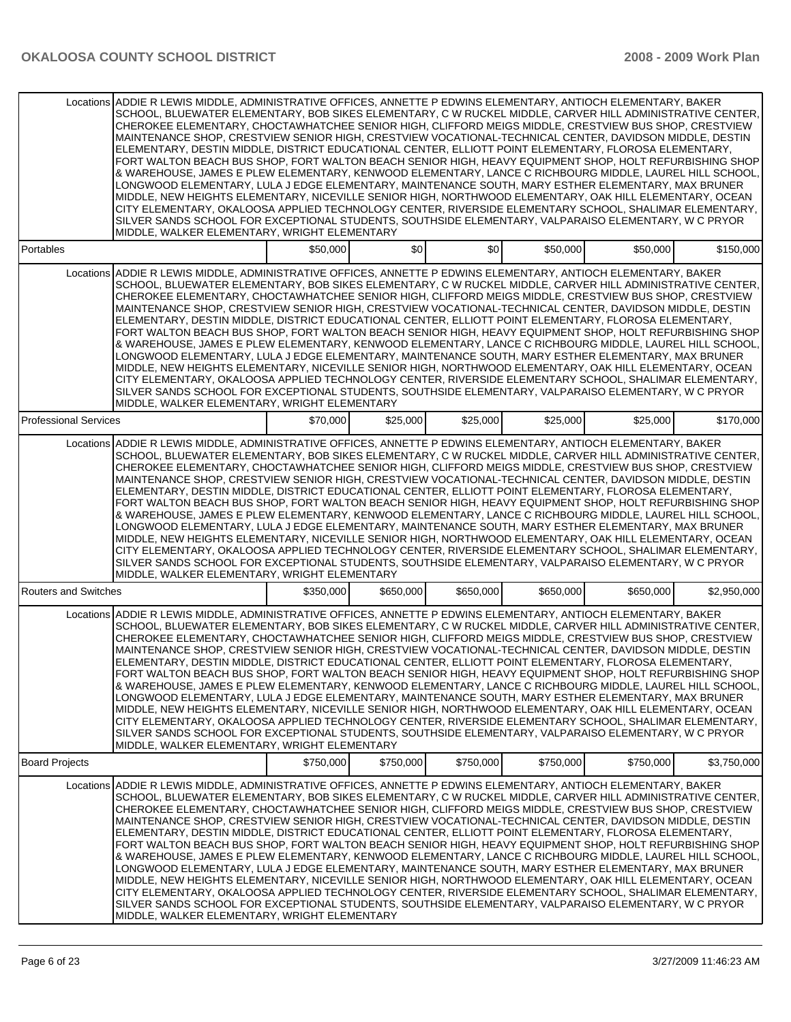|                              | Locations ADDIE R LEWIS MIDDLE, ADMINISTRATIVE OFFICES, ANNETTE P EDWINS ELEMENTARY, ANTIOCH ELEMENTARY, BAKER<br>SCHOOL, BLUEWATER ELEMENTARY, BOB SIKES ELEMENTARY, C W RUCKEL MIDDLE, CARVER HILL ADMINISTRATIVE CENTER,<br>CHEROKEE ELEMENTARY, CHOCTAWHATCHEE SENIOR HIGH, CLIFFORD MEIGS MIDDLE, CRESTVIEW BUS SHOP, CRESTVIEW<br>MAINTENANCE SHOP, CRESTVIEW SENIOR HIGH, CRESTVIEW VOCATIONAL-TECHNICAL CENTER, DAVIDSON MIDDLE, DESTIN<br>ELEMENTARY, DESTIN MIDDLE, DISTRICT EDUCATIONAL CENTER, ELLIOTT POINT ELEMENTARY, FLOROSA ELEMENTARY,<br>FORT WALTON BEACH BUS SHOP, FORT WALTON BEACH SENIOR HIGH, HEAVY EQUIPMENT SHOP, HOLT REFURBISHING SHOP<br>& WAREHOUSE, JAMES E PLEW ELEMENTARY, KENWOOD ELEMENTARY, LANCE C RICHBOURG MIDDLE, LAUREL HILL SCHOOL,<br>LONGWOOD ELEMENTARY, LULA J EDGE ELEMENTARY, MAINTENANCE SOUTH, MARY ESTHER ELEMENTARY, MAX BRUNER<br>MIDDLE, NEW HEIGHTS ELEMENTARY, NICEVILLE SENIOR HIGH, NORTHWOOD ELEMENTARY, OAK HILL ELEMENTARY, OCEAN<br>CITY ELEMENTARY, OKALOOSA APPLIED TECHNOLOGY CENTER, RIVERSIDE ELEMENTARY SCHOOL, SHALIMAR ELEMENTARY,<br>SILVER SANDS SCHOOL FOR EXCEPTIONAL STUDENTS, SOUTHSIDE ELEMENTARY, VALPARAISO ELEMENTARY, W C PRYOR<br>MIDDLE, WALKER ELEMENTARY, WRIGHT ELEMENTARY   |           |           |           |           |           |             |
|------------------------------|---------------------------------------------------------------------------------------------------------------------------------------------------------------------------------------------------------------------------------------------------------------------------------------------------------------------------------------------------------------------------------------------------------------------------------------------------------------------------------------------------------------------------------------------------------------------------------------------------------------------------------------------------------------------------------------------------------------------------------------------------------------------------------------------------------------------------------------------------------------------------------------------------------------------------------------------------------------------------------------------------------------------------------------------------------------------------------------------------------------------------------------------------------------------------------------------------------------------------------------------------------------------|-----------|-----------|-----------|-----------|-----------|-------------|
| Portables                    |                                                                                                                                                                                                                                                                                                                                                                                                                                                                                                                                                                                                                                                                                                                                                                                                                                                                                                                                                                                                                                                                                                                                                                                                                                                                     | \$50,000  | \$0       | \$0       | \$50,000  | \$50,000  | \$150,000   |
|                              | Locations ADDIE R LEWIS MIDDLE, ADMINISTRATIVE OFFICES, ANNETTE P EDWINS ELEMENTARY, ANTIOCH ELEMENTARY, BAKER<br>SCHOOL, BLUEWATER ELEMENTARY, BOB SIKES ELEMENTARY, C W RUCKEL MIDDLE, CARVER HILL ADMINISTRATIVE CENTER,<br>CHEROKEE ELEMENTARY, CHOCTAWHATCHEE SENIOR HIGH, CLIFFORD MEIGS MIDDLE, CRESTVIEW BUS SHOP, CRESTVIEW<br>MAINTENANCE SHOP, CRESTVIEW SENIOR HIGH, CRESTVIEW VOCATIONAL-TECHNICAL CENTER, DAVIDSON MIDDLE, DESTIN<br>ELEMENTARY, DESTIN MIDDLE, DISTRICT EDUCATIONAL CENTER, ELLIOTT POINT ELEMENTARY, FLOROSA ELEMENTARY,<br>FORT WALTON BEACH BUS SHOP, FORT WALTON BEACH SENIOR HIGH, HEAVY EQUIPMENT SHOP, HOLT REFURBISHING SHOP<br>& WAREHOUSE, JAMES E PLEW ELEMENTARY, KENWOOD ELEMENTARY, LANCE C RICHBOURG MIDDLE, LAUREL HILL SCHOOL,<br>LONGWOOD ELEMENTARY, LULA J EDGE ELEMENTARY, MAINTENANCE SOUTH, MARY ESTHER ELEMENTARY, MAX BRUNER<br>MIDDLE, NEW HEIGHTS ELEMENTARY, NICEVILLE SENIOR HIGH, NORTHWOOD ELEMENTARY, OAK HILL ELEMENTARY, OCEAN<br>CITY ELEMENTARY, OKALOOSA APPLIED TECHNOLOGY CENTER, RIVERSIDE ELEMENTARY SCHOOL, SHALIMAR ELEMENTARY, 1<br>SILVER SANDS SCHOOL FOR EXCEPTIONAL STUDENTS, SOUTHSIDE ELEMENTARY, VALPARAISO ELEMENTARY, W C PRYOR<br>MIDDLE, WALKER ELEMENTARY, WRIGHT ELEMENTARY |           |           |           |           |           |             |
| <b>Professional Services</b> |                                                                                                                                                                                                                                                                                                                                                                                                                                                                                                                                                                                                                                                                                                                                                                                                                                                                                                                                                                                                                                                                                                                                                                                                                                                                     | \$70,000  | \$25,000  | \$25,000  | \$25,000  | \$25,000  | \$170,000   |
|                              | Locations ADDIE R LEWIS MIDDLE, ADMINISTRATIVE OFFICES, ANNETTE P EDWINS ELEMENTARY, ANTIOCH ELEMENTARY, BAKER<br>SCHOOL, BLUEWATER ELEMENTARY, BOB SIKES ELEMENTARY, C W RUCKEL MIDDLE, CARVER HILL ADMINISTRATIVE CENTER,<br>CHEROKEE ELEMENTARY, CHOCTAWHATCHEE SENIOR HIGH, CLIFFORD MEIGS MIDDLE, CRESTVIEW BUS SHOP, CRESTVIEW<br>MAINTENANCE SHOP, CRESTVIEW SENIOR HIGH, CRESTVIEW VOCATIONAL-TECHNICAL CENTER, DAVIDSON MIDDLE, DESTIN<br>ELEMENTARY, DESTIN MIDDLE, DISTRICT EDUCATIONAL CENTER, ELLIOTT POINT ELEMENTARY, FLOROSA ELEMENTARY,<br>FORT WALTON BEACH BUS SHOP, FORT WALTON BEACH SENIOR HIGH, HEAVY EQUIPMENT SHOP, HOLT REFURBISHING SHOP<br>& WAREHOUSE, JAMES E PLEW ELEMENTARY, KENWOOD ELEMENTARY, LANCE C RICHBOURG MIDDLE, LAUREL HILL SCHOOL,<br>LONGWOOD ELEMENTARY, LULA J EDGE ELEMENTARY, MAINTENANCE SOUTH, MARY ESTHER ELEMENTARY, MAX BRUNER<br>MIDDLE, NEW HEIGHTS ELEMENTARY, NICEVILLE SENIOR HIGH, NORTHWOOD ELEMENTARY, OAK HILL ELEMENTARY, OCEAN<br>CITY ELEMENTARY, OKALOOSA APPLIED TECHNOLOGY CENTER, RIVERSIDE ELEMENTARY SCHOOL, SHALIMAR ELEMENTARY,<br>SILVER SANDS SCHOOL FOR EXCEPTIONAL STUDENTS, SOUTHSIDE ELEMENTARY, VALPARAISO ELEMENTARY, W C PRYOR<br>MIDDLE, WALKER ELEMENTARY, WRIGHT ELEMENTARY   |           |           |           |           |           |             |
| <b>Routers and Switches</b>  |                                                                                                                                                                                                                                                                                                                                                                                                                                                                                                                                                                                                                                                                                                                                                                                                                                                                                                                                                                                                                                                                                                                                                                                                                                                                     | \$350.000 | \$650,000 | \$650,000 | \$650,000 | \$650,000 | \$2,950,000 |
|                              | Locations ADDIE R LEWIS MIDDLE, ADMINISTRATIVE OFFICES, ANNETTE P EDWINS ELEMENTARY, ANTIOCH ELEMENTARY, BAKER<br>SCHOOL, BLUEWATER ELEMENTARY, BOB SIKES ELEMENTARY, C W RUCKEL MIDDLE, CARVER HILL ADMINISTRATIVE CENTER,<br>CHEROKEE ELEMENTARY, CHOCTAWHATCHEE SENIOR HIGH, CLIFFORD MEIGS MIDDLE, CRESTVIEW BUS SHOP, CRESTVIEW<br>MAINTENANCE SHOP, CRESTVIEW SENIOR HIGH, CRESTVIEW VOCATIONAL-TECHNICAL CENTER, DAVIDSON MIDDLE, DESTIN<br>ELEMENTARY, DESTIN MIDDLE, DISTRICT EDUCATIONAL CENTER, ELLIOTT POINT ELEMENTARY, FLOROSA ELEMENTARY,<br>FORT WALTON BEACH BUS SHOP, FORT WALTON BEACH SENIOR HIGH, HEAVY EQUIPMENT SHOP, HOLT REFURBISHING SHOP<br>& WAREHOUSE, JAMES E PLEW ELEMENTARY, KENWOOD ELEMENTARY, LANCE C RICHBOURG MIDDLE, LAUREL HILL SCHOOL,<br>LONGWOOD ELEMENTARY, LULA J EDGE ELEMENTARY, MAINTENANCE SOUTH, MARY ESTHER ELEMENTARY, MAX BRUNER<br>MIDDLE, NEW HEIGHTS ELEMENTARY, NICEVILLE SENIOR HIGH, NORTHWOOD ELEMENTARY, OAK HILL ELEMENTARY, OCEAN<br>CITY ELEMENTARY, OKALOOSA APPLIED TECHNOLOGY CENTER, RIVERSIDE ELEMENTARY SCHOOL, SHALIMAR ELEMENTARY,  <br>SILVER SANDS SCHOOL FOR EXCEPTIONAL STUDENTS, SOUTHSIDE ELEMENTARY, VALPARAISO ELEMENTARY, W C PRYOR<br>MIDDLE, WALKER ELEMENTARY, WRIGHT ELEMENTARY |           |           |           |           |           |             |
| <b>Board Projects</b>        |                                                                                                                                                                                                                                                                                                                                                                                                                                                                                                                                                                                                                                                                                                                                                                                                                                                                                                                                                                                                                                                                                                                                                                                                                                                                     | \$750,000 | \$750,000 | \$750,000 | \$750,000 | \$750,000 | \$3,750,000 |
|                              | Locations ADDIE R LEWIS MIDDLE, ADMINISTRATIVE OFFICES, ANNETTE P EDWINS ELEMENTARY, ANTIOCH ELEMENTARY, BAKER<br>SCHOOL, BLUEWATER ELEMENTARY, BOB SIKES ELEMENTARY, C W RUCKEL MIDDLE, CARVER HILL ADMINISTRATIVE CENTER,<br>CHEROKEE ELEMENTARY, CHOCTAWHATCHEE SENIOR HIGH, CLIFFORD MEIGS MIDDLE, CRESTVIEW BUS SHOP, CRESTVIEW<br>MAINTENANCE SHOP, CRESTVIEW SENIOR HIGH, CRESTVIEW VOCATIONAL-TECHNICAL CENTER, DAVIDSON MIDDLE, DESTIN<br>ELEMENTARY, DESTIN MIDDLE, DISTRICT EDUCATIONAL CENTER, ELLIOTT POINT ELEMENTARY, FLOROSA ELEMENTARY,<br>FORT WALTON BEACH BUS SHOP, FORT WALTON BEACH SENIOR HIGH, HEAVY EQUIPMENT SHOP, HOLT REFURBISHING SHOP<br>& WAREHOUSE, JAMES E PLEW ELEMENTARY, KENWOOD ELEMENTARY, LANCE C RICHBOURG MIDDLE, LAUREL HILL SCHOOL,<br>LONGWOOD ELEMENTARY, LULA J EDGE ELEMENTARY, MAINTENANCE SOUTH, MARY ESTHER ELEMENTARY, MAX BRUNER<br>MIDDLE, NEW HEIGHTS ELEMENTARY, NICEVILLE SENIOR HIGH, NORTHWOOD ELEMENTARY, OAK HILL ELEMENTARY, OCEAN<br>CITY ELEMENTARY, OKALOOSA APPLIED TECHNOLOGY CENTER, RIVERSIDE ELEMENTARY SCHOOL, SHALIMAR ELEMENTARY,  <br>SILVER SANDS SCHOOL FOR EXCEPTIONAL STUDENTS, SOUTHSIDE ELEMENTARY, VALPARAISO ELEMENTARY, W C PRYOR<br>MIDDLE, WALKER ELEMENTARY, WRIGHT ELEMENTARY |           |           |           |           |           |             |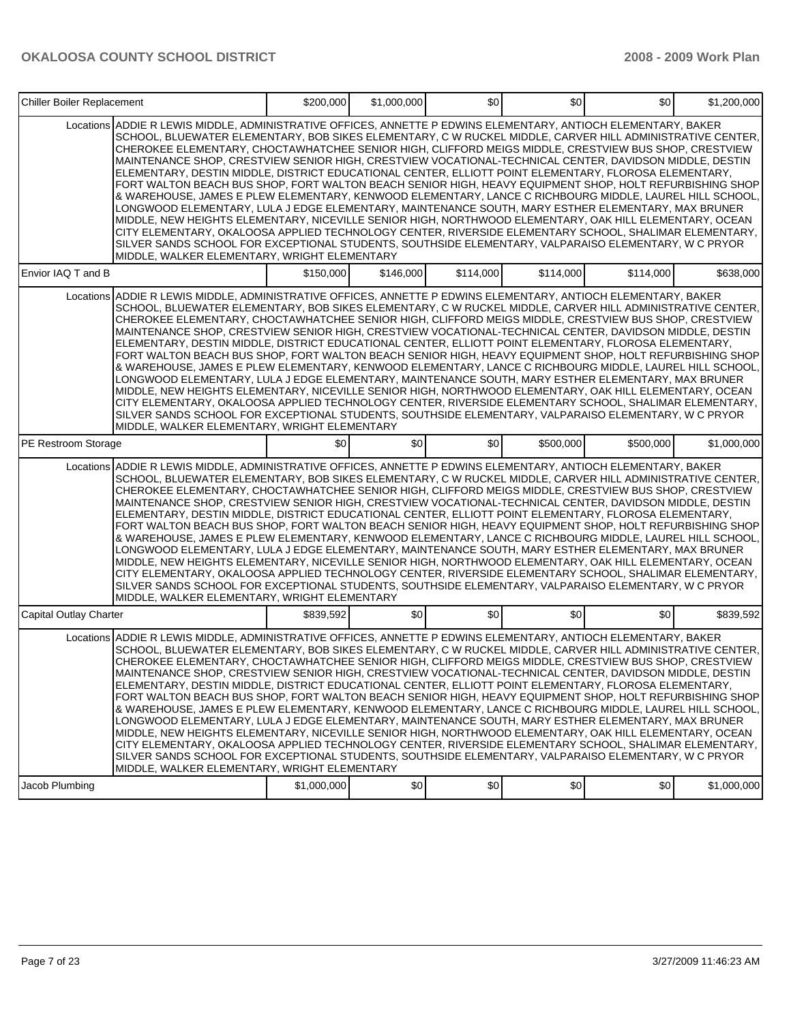| Chiller Boiler Replacement |                                                                                                                                                                                                                                                                                                                                                                                                                                                                                                                                                                                                                                                                                                                                                                                                                                                                                                                                                                                                                                                                                                                                                                                                                                                                   | \$200,000   | \$1,000,000 | \$0       | \$0       | \$0       | \$1,200,000 |
|----------------------------|-------------------------------------------------------------------------------------------------------------------------------------------------------------------------------------------------------------------------------------------------------------------------------------------------------------------------------------------------------------------------------------------------------------------------------------------------------------------------------------------------------------------------------------------------------------------------------------------------------------------------------------------------------------------------------------------------------------------------------------------------------------------------------------------------------------------------------------------------------------------------------------------------------------------------------------------------------------------------------------------------------------------------------------------------------------------------------------------------------------------------------------------------------------------------------------------------------------------------------------------------------------------|-------------|-------------|-----------|-----------|-----------|-------------|
|                            | Locations ADDIE R LEWIS MIDDLE, ADMINISTRATIVE OFFICES, ANNETTE P EDWINS ELEMENTARY, ANTIOCH ELEMENTARY, BAKER<br>SCHOOL, BLUEWATER ELEMENTARY, BOB SIKES ELEMENTARY, C W RUCKEL MIDDLE, CARVER HILL ADMINISTRATIVE CENTER,<br>CHEROKEE ELEMENTARY, CHOCTAWHATCHEE SENIOR HIGH, CLIFFORD MEIGS MIDDLE, CRESTVIEW BUS SHOP, CRESTVIEW<br>MAINTENANCE SHOP, CRESTVIEW SENIOR HIGH, CRESTVIEW VOCATIONAL-TECHNICAL CENTER, DAVIDSON MIDDLE, DESTIN<br>ELEMENTARY, DESTIN MIDDLE, DISTRICT EDUCATIONAL CENTER, ELLIOTT POINT ELEMENTARY, FLOROSA ELEMENTARY,<br>FORT WALTON BEACH BUS SHOP, FORT WALTON BEACH SENIOR HIGH, HEAVY EQUIPMENT SHOP, HOLT REFURBISHING SHOP<br>& WAREHOUSE, JAMES E PLEW ELEMENTARY, KENWOOD ELEMENTARY, LANCE C RICHBOURG MIDDLE, LAUREL HILL SCHOOL,<br>LONGWOOD ELEMENTARY, LULA J EDGE ELEMENTARY, MAINTENANCE SOUTH, MARY ESTHER ELEMENTARY, MAX BRUNER<br>MIDDLE, NEW HEIGHTS ELEMENTARY, NICEVILLE SENIOR HIGH, NORTHWOOD ELEMENTARY, OAK HILL ELEMENTARY, OCEAN<br>CITY ELEMENTARY, OKALOOSA APPLIED TECHNOLOGY CENTER, RIVERSIDE ELEMENTARY SCHOOL, SHALIMAR ELEMENTARY,<br>SILVER SANDS SCHOOL FOR EXCEPTIONAL STUDENTS, SOUTHSIDE ELEMENTARY, VALPARAISO ELEMENTARY, W C PRYOR<br>MIDDLE, WALKER ELEMENTARY, WRIGHT ELEMENTARY |             |             |           |           |           |             |
| Envior IAQ T and B         |                                                                                                                                                                                                                                                                                                                                                                                                                                                                                                                                                                                                                                                                                                                                                                                                                                                                                                                                                                                                                                                                                                                                                                                                                                                                   | \$150,000   | \$146,000   | \$114,000 | \$114,000 | \$114.000 | \$638,000   |
| Locations                  | IADDIE R LEWIS MIDDLE, ADMINISTRATIVE OFFICES, ANNETTE P EDWINS ELEMENTARY, ANTIOCH ELEMENTARY, BAKER أ<br>SCHOOL, BLUEWATER ELEMENTARY, BOB SIKES ELEMENTARY, C W RUCKEL MIDDLE, CARVER HILL ADMINISTRATIVE CENTER,<br>CHEROKEE ELEMENTARY, CHOCTAWHATCHEE SENIOR HIGH, CLIFFORD MEIGS MIDDLE, CRESTVIEW BUS SHOP, CRESTVIEW<br>MAINTENANCE SHOP, CRESTVIEW SENIOR HIGH, CRESTVIEW VOCATIONAL-TECHNICAL CENTER, DAVIDSON MIDDLE, DESTIN<br>ELEMENTARY, DESTIN MIDDLE, DISTRICT EDUCATIONAL CENTER, ELLIOTT POINT ELEMENTARY, FLOROSA ELEMENTARY,<br>FORT WALTON BEACH BUS SHOP, FORT WALTON BEACH SENIOR HIGH, HEAVY EQUIPMENT SHOP, HOLT REFURBISHING SHOP<br>& WAREHOUSE, JAMES E PLEW ELEMENTARY, KENWOOD ELEMENTARY, LANCE C RICHBOURG MIDDLE, LAUREL HILL SCHOOL,<br>LONGWOOD ELEMENTARY, LULA J EDGE ELEMENTARY, MAINTENANCE SOUTH, MARY ESTHER ELEMENTARY, MAX BRUNER<br>MIDDLE, NEW HEIGHTS ELEMENTARY, NICEVILLE SENIOR HIGH, NORTHWOOD ELEMENTARY, OAK HILL ELEMENTARY, OCEAN<br>CITY ELEMENTARY, OKALOOSA APPLIED TECHNOLOGY CENTER, RIVERSIDE ELEMENTARY SCHOOL, SHALIMAR ELEMENTARY,  <br>SILVER SANDS SCHOOL FOR EXCEPTIONAL STUDENTS, SOUTHSIDE ELEMENTARY, VALPARAISO ELEMENTARY, W C PRYOR<br>MIDDLE, WALKER ELEMENTARY, WRIGHT ELEMENTARY      |             |             |           |           |           |             |
| PE Restroom Storage        |                                                                                                                                                                                                                                                                                                                                                                                                                                                                                                                                                                                                                                                                                                                                                                                                                                                                                                                                                                                                                                                                                                                                                                                                                                                                   | \$0         | \$0         | \$0       | \$500,000 | \$500,000 | \$1,000,000 |
|                            | Locations ADDIE R LEWIS MIDDLE. ADMINISTRATIVE OFFICES, ANNETTE P EDWINS ELEMENTARY, ANTIOCH ELEMENTARY, BAKER<br>SCHOOL, BLUEWATER ELEMENTARY, BOB SIKES ELEMENTARY, C W RUCKEL MIDDLE, CARVER HILL ADMINISTRATIVE CENTER,<br>CHEROKEE ELEMENTARY, CHOCTAWHATCHEE SENIOR HIGH, CLIFFORD MEIGS MIDDLE, CRESTVIEW BUS SHOP, CRESTVIEW<br>MAINTENANCE SHOP, CRESTVIEW SENIOR HIGH, CRESTVIEW VOCATIONAL-TECHNICAL CENTER, DAVIDSON MIDDLE, DESTIN<br>ELEMENTARY, DESTIN MIDDLE, DISTRICT EDUCATIONAL CENTER, ELLIOTT POINT ELEMENTARY, FLOROSA ELEMENTARY,<br>FORT WALTON BEACH BUS SHOP, FORT WALTON BEACH SENIOR HIGH, HEAVY EQUIPMENT SHOP, HOLT REFURBISHING SHOP<br>& WAREHOUSE, JAMES E PLEW ELEMENTARY, KENWOOD ELEMENTARY, LANCE C RICHBOURG MIDDLE, LAUREL HILL SCHOOL,<br>LONGWOOD ELEMENTARY, LULA J EDGE ELEMENTARY, MAINTENANCE SOUTH, MARY ESTHER ELEMENTARY, MAX BRUNER<br>MIDDLE, NEW HEIGHTS ELEMENTARY, NICEVILLE SENIOR HIGH, NORTHWOOD ELEMENTARY, OAK HILL ELEMENTARY, OCEAN<br>CITY ELEMENTARY, OKALOOSA APPLIED TECHNOLOGY CENTER, RIVERSIDE ELEMENTARY SCHOOL, SHALIMAR ELEMENTARY,<br>SILVER SANDS SCHOOL FOR EXCEPTIONAL STUDENTS, SOUTHSIDE ELEMENTARY, VALPARAISO ELEMENTARY, W C PRYOR<br>MIDDLE, WALKER ELEMENTARY, WRIGHT ELEMENTARY |             |             |           |           |           |             |
| Capital Outlay Charter     |                                                                                                                                                                                                                                                                                                                                                                                                                                                                                                                                                                                                                                                                                                                                                                                                                                                                                                                                                                                                                                                                                                                                                                                                                                                                   | \$839,592   | \$0         | \$0       | \$0       | \$0       | \$839,592   |
|                            | Locations ADDIE R LEWIS MIDDLE, ADMINISTRATIVE OFFICES, ANNETTE P EDWINS ELEMENTARY, ANTIOCH ELEMENTARY, BAKER<br>SCHOOL, BLUEWATER ELEMENTARY, BOB SIKES ELEMENTARY, C W RUCKEL MIDDLE, CARVER HILL ADMINISTRATIVE CENTER,<br>CHEROKEE ELEMENTARY, CHOCTAWHATCHEE SENIOR HIGH, CLIFFORD MEIGS MIDDLE, CRESTVIEW BUS SHOP, CRESTVIEW<br>MAINTENANCE SHOP, CRESTVIEW SENIOR HIGH, CRESTVIEW VOCATIONAL-TECHNICAL CENTER, DAVIDSON MIDDLE, DESTIN<br>ELEMENTARY, DESTIN MIDDLE, DISTRICT EDUCATIONAL CENTER, ELLIOTT POINT ELEMENTARY, FLOROSA ELEMENTARY,<br>FORT WALTON BEACH BUS SHOP, FORT WALTON BEACH SENIOR HIGH, HEAVY EQUIPMENT SHOP, HOLT REFURBISHING SHOP<br>& WAREHOUSE, JAMES E PLEW ELEMENTARY, KENWOOD ELEMENTARY, LANCE C RICHBOURG MIDDLE, LAUREL HILL SCHOOL,<br>LONGWOOD ELEMENTARY. LULA J EDGE ELEMENTARY. MAINTENANCE SOUTH. MARY ESTHER ELEMENTARY. MAX BRUNER<br>MIDDLE, NEW HEIGHTS ELEMENTARY, NICEVILLE SENIOR HIGH, NORTHWOOD ELEMENTARY, OAK HILL ELEMENTARY, OCEAN<br>CITY ELEMENTARY, OKALOOSA APPLIED TECHNOLOGY CENTER, RIVERSIDE ELEMENTARY SCHOOL, SHALIMAR ELEMENTARY,<br>SILVER SANDS SCHOOL FOR EXCEPTIONAL STUDENTS, SOUTHSIDE ELEMENTARY, VALPARAISO ELEMENTARY, W C PRYOR<br>MIDDLE, WALKER ELEMENTARY, WRIGHT ELEMENTARY |             |             |           |           |           |             |
| Jacob Plumbing             |                                                                                                                                                                                                                                                                                                                                                                                                                                                                                                                                                                                                                                                                                                                                                                                                                                                                                                                                                                                                                                                                                                                                                                                                                                                                   | \$1,000,000 | \$0         | \$0       | \$0       | \$0       | \$1,000,000 |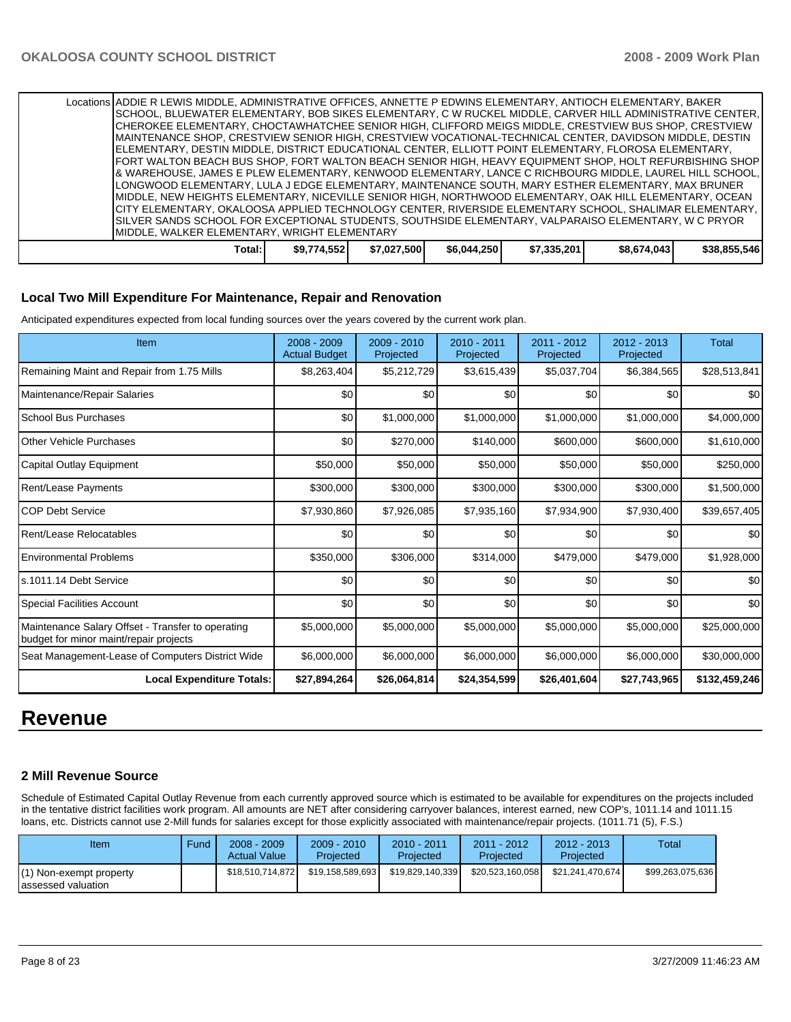|                                              | Locations ADDIE R LEWIS MIDDLE, ADMINISTRATIVE OFFICES, ANNETTE P EDWINS ELEMENTARY, ANTIOCH ELEMENTARY, BAKER |             |             |             |             |             |              |  |  |
|----------------------------------------------|----------------------------------------------------------------------------------------------------------------|-------------|-------------|-------------|-------------|-------------|--------------|--|--|
|                                              | ISCHOOL, BLUEWATER ELEMENTARY, BOB SIKES ELEMENTARY, C W RUCKEL MIDDLE, CARVER HILL ADMINISTRATIVE CENTER,     |             |             |             |             |             |              |  |  |
|                                              | ICHEROKEE ELEMENTARY. CHOCTAWHATCHEE SENIOR HIGH. CLIFFORD MEIGS MIDDLE. CRESTVIEW BUS SHOP. CRESTVIEW         |             |             |             |             |             |              |  |  |
|                                              | IMAINTENANCE SHOP, CRESTVIEW SENIOR HIGH, CRESTVIEW VOCATIONAL-TECHNICAL CENTER, DAVIDSON MIDDLE, DESTIN       |             |             |             |             |             |              |  |  |
|                                              | IELEMENTARY. DESTIN MIDDLE. DISTRICT EDUCATIONAL CENTER. ELLIOTT POINT ELEMENTARY. FLOROSA ELEMENTARY.         |             |             |             |             |             |              |  |  |
|                                              | [FORT WALTON BEACH BUS SHOP, FORT WALTON BEACH SENIOR HIGH, HEAVY EQUIPMENT SHOP, HOLT REFURBISHING SHOP       |             |             |             |             |             |              |  |  |
|                                              | 8 WAREHOUSE, JAMES E PLEW ELEMENTARY, KENWOOD ELEMENTARY, LANCE C RICHBOURG MIDDLE, LAUREL HILL SCHOOL, I      |             |             |             |             |             |              |  |  |
|                                              | LONGWOOD ELEMENTARY. LULA J EDGE ELEMENTARY, MAINTENANCE SOUTH, MARY ESTHER ELEMENTARY, MAX BRUNER             |             |             |             |             |             |              |  |  |
|                                              | IMIDDLE. NEW HEIGHTS ELEMENTARY. NICEVILLE SENIOR HIGH. NORTHWOOD ELEMENTARY. OAK HILL ELEMENTARY. OCEAN       |             |             |             |             |             |              |  |  |
|                                              | CITY ELEMENTARY, OKALOOSA APPLIED TECHNOLOGY CENTER, RIVERSIDE ELEMENTARY SCHOOL, SHALIMAR ELEMENTARY,         |             |             |             |             |             |              |  |  |
|                                              | SILVER SANDS SCHOOL FOR EXCEPTIONAL STUDENTS, SOUTHSIDE ELEMENTARY, VALPARAISO ELEMENTARY, W C PRYOR           |             |             |             |             |             |              |  |  |
| MIDDLE, WALKER ELEMENTARY, WRIGHT ELEMENTARY |                                                                                                                |             |             |             |             |             |              |  |  |
|                                              | Total:                                                                                                         | \$9,774,552 | \$7,027,500 | \$6,044,250 | \$7,335,201 | \$8,674,043 | \$38,855,546 |  |  |

### **Local Two Mill Expenditure For Maintenance, Repair and Renovation**

Anticipated expenditures expected from local funding sources over the years covered by the current work plan.

| Item                                                                                        | $2008 - 2009$<br><b>Actual Budget</b> | $2009 - 2010$<br>Projected | $2010 - 2011$<br>Projected | 2011 - 2012<br>Projected | $2012 - 2013$<br>Projected | <b>Total</b>  |
|---------------------------------------------------------------------------------------------|---------------------------------------|----------------------------|----------------------------|--------------------------|----------------------------|---------------|
| Remaining Maint and Repair from 1.75 Mills                                                  | \$8,263,404                           | \$5,212,729                | \$3,615,439                | \$5,037,704              | \$6,384,565                | \$28,513,841  |
| Maintenance/Repair Salaries                                                                 | \$0                                   | \$0                        | \$0                        | \$0                      | \$0                        | \$0           |
| School Bus Purchases                                                                        | \$0                                   | \$1,000,000                | \$1,000,000                | \$1,000,000              | \$1,000,000                | \$4,000,000   |
| <b>Other Vehicle Purchases</b>                                                              | \$0                                   | \$270,000                  | \$140,000                  | \$600,000                | \$600,000                  | \$1,610,000   |
| Capital Outlay Equipment                                                                    | \$50,000                              | \$50,000                   | \$50,000                   | \$50,000                 | \$50,000                   | \$250,000     |
| Rent/Lease Payments                                                                         | \$300,000                             | \$300,000                  | \$300,000                  | \$300,000                | \$300,000                  | \$1,500,000   |
| <b>COP Debt Service</b>                                                                     | \$7,930,860                           | \$7,926,085                | \$7,935,160                | \$7,934,900              | \$7,930,400                | \$39,657,405  |
| Rent/Lease Relocatables                                                                     | \$0                                   | \$0                        | \$0                        | \$0                      | \$0                        | \$0           |
| <b>Environmental Problems</b>                                                               | \$350,000                             | \$306,000                  | \$314,000                  | \$479,000                | \$479,000                  | \$1,928,000   |
| ls.1011.14 Debt Service                                                                     | \$0                                   | \$0                        | \$0                        | \$0                      | \$0                        | \$0           |
| <b>Special Facilities Account</b>                                                           | \$0                                   | \$0                        | \$0                        | \$0                      | \$0                        | \$0           |
| Maintenance Salary Offset - Transfer to operating<br>budget for minor maint/repair projects | \$5,000,000                           | \$5,000,000                | \$5,000,000                | \$5,000,000              | \$5,000,000                | \$25,000,000  |
| Seat Management-Lease of Computers District Wide                                            | \$6,000,000                           | \$6,000,000                | \$6,000,000                | \$6,000,000              | \$6,000,000                | \$30,000,000  |
| <b>Local Expenditure Totals:</b>                                                            | \$27,894,264                          | \$26,064,814               | \$24,354,599               | \$26,401,604             | \$27,743,965               | \$132,459,246 |

## **Revenue**

### **2 Mill Revenue Source**

Schedule of Estimated Capital Outlay Revenue from each currently approved source which is estimated to be available for expenditures on the projects included in the tentative district facilities work program. All amounts are NET after considering carryover balances, interest earned, new COP's, 1011.14 and 1011.15 loans, etc. Districts cannot use 2-Mill funds for salaries except for those explicitly associated with maintenance/repair projects. (1011.71 (5), F.S.)

| Item                                           | Fund | $2008 - 2009$<br><b>Actual Value</b> | $2009 - 2010$<br>Projected | $2010 - 2011$<br>Projected | 2011 - 2012<br>Projected | $2012 - 2013$<br>Projected | Total            |
|------------------------------------------------|------|--------------------------------------|----------------------------|----------------------------|--------------------------|----------------------------|------------------|
| (1) Non-exempt property<br>lassessed valuation |      | \$18,510,714,872                     | \$19.158.589.693           | \$19,829,140,339           | \$20.523.160.058         | \$21.241.470.674           | \$99,263,075,636 |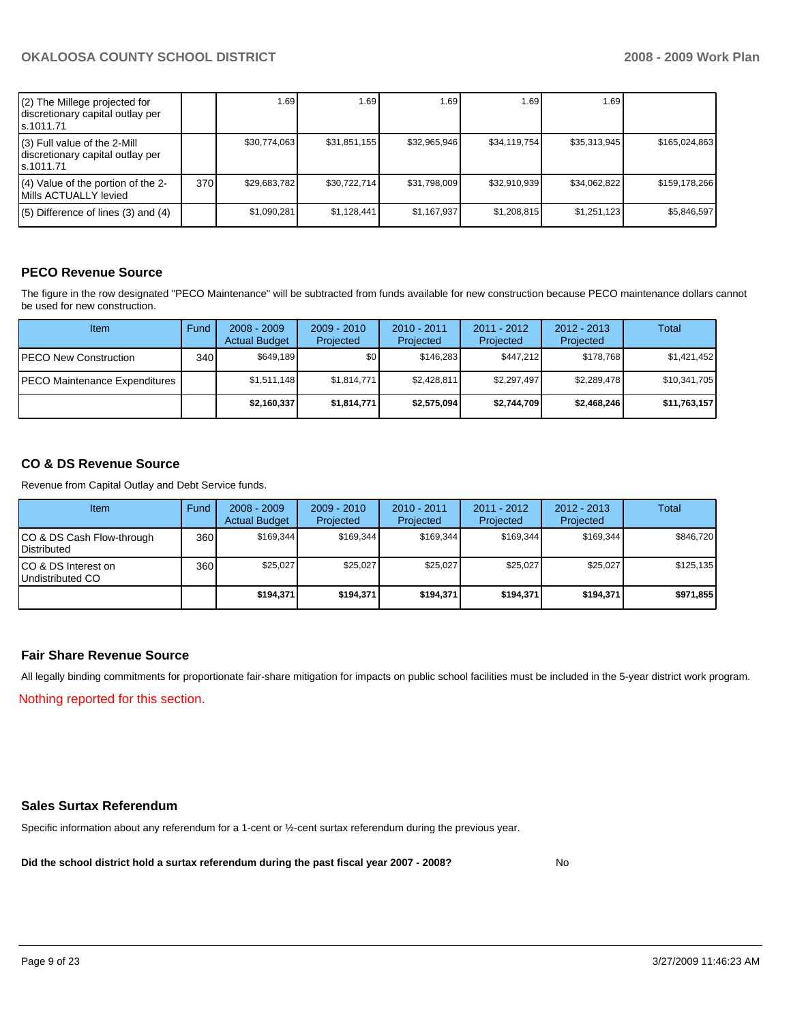| (2) The Millege projected for<br>discretionary capital outlay per<br>s.1011.71 |      | 1.69         | 1.69         | 1.69         | 1.69         | 1.69 <sub>1</sub> |               |
|--------------------------------------------------------------------------------|------|--------------|--------------|--------------|--------------|-------------------|---------------|
| (3) Full value of the 2-Mill<br>discretionary capital outlay per<br>ls.1011.71 |      | \$30,774,063 | \$31,851,155 | \$32,965,946 | \$34.119.754 | \$35,313,945      | \$165,024,863 |
| (4) Value of the portion of the 2-<br>Mills ACTUALLY levied                    | 370I | \$29,683,782 | \$30,722,714 | \$31,798,009 | \$32,910,939 | \$34,062,822      | \$159,178,266 |
| $(5)$ Difference of lines (3) and (4)                                          |      | \$1,090,281  | \$1,128,441  | \$1,167,937  | \$1,208,815  | \$1,251,123       | \$5,846,597   |

## **PECO Revenue Source**

The figure in the row designated "PECO Maintenance" will be subtracted from funds available for new construction because PECO maintenance dollars cannot be used for new construction.

| Item                                 | Fund         | $2008 - 2009$<br><b>Actual Budget</b> | $2009 - 2010$<br>Projected | $2010 - 2011$<br>Projected | 2011 - 2012<br>Projected | $2012 - 2013$<br>Projected | Total        |
|--------------------------------------|--------------|---------------------------------------|----------------------------|----------------------------|--------------------------|----------------------------|--------------|
| IPECO New Construction               | 340 <b>I</b> | \$649.189                             | \$0 <sub>1</sub>           | \$146.283                  | \$447.212                | \$178.768                  | \$1,421,452  |
| <b>PECO Maintenance Expenditures</b> |              | \$1,511,148                           | \$1,814,771                | \$2,428,811                | \$2,297,497              | \$2,289,478                | \$10,341,705 |
|                                      |              | \$2,160,337                           | \$1,814,771                | \$2,575,094                | \$2,744,709              | \$2,468,246                | \$11,763,157 |

## **CO & DS Revenue Source**

Revenue from Capital Outlay and Debt Service funds.

| Item                                               | Fund  | $2008 - 2009$<br><b>Actual Budget</b> | $2009 - 2010$<br>Projected | $2010 - 2011$<br>Projected | 2011 - 2012<br>Projected | $2012 - 2013$<br>Projected | Total     |
|----------------------------------------------------|-------|---------------------------------------|----------------------------|----------------------------|--------------------------|----------------------------|-----------|
| ICO & DS Cash Flow-through<br><b>I</b> Distributed | 360 l | \$169.344                             | \$169.344                  | \$169.344                  | \$169.344                | \$169.344                  | \$846,720 |
| ICO & DS Interest on<br>Undistributed CO           | 360 l | \$25,027                              | \$25,027                   | \$25,027                   | \$25,027                 | \$25,027                   | \$125,135 |
|                                                    |       | \$194,371                             | \$194,371                  | \$194,371                  | \$194.371                | \$194,371                  | \$971,855 |

## **Fair Share Revenue Source**

All legally binding commitments for proportionate fair-share mitigation for impacts on public school facilities must be included in the 5-year district work program. Nothing reported for this section.

### **Sales Surtax Referendum**

Specific information about any referendum for a 1-cent or ½-cent surtax referendum during the previous year.

**Did the school district hold a surtax referendum during the past fiscal year 2007 - 2008?** No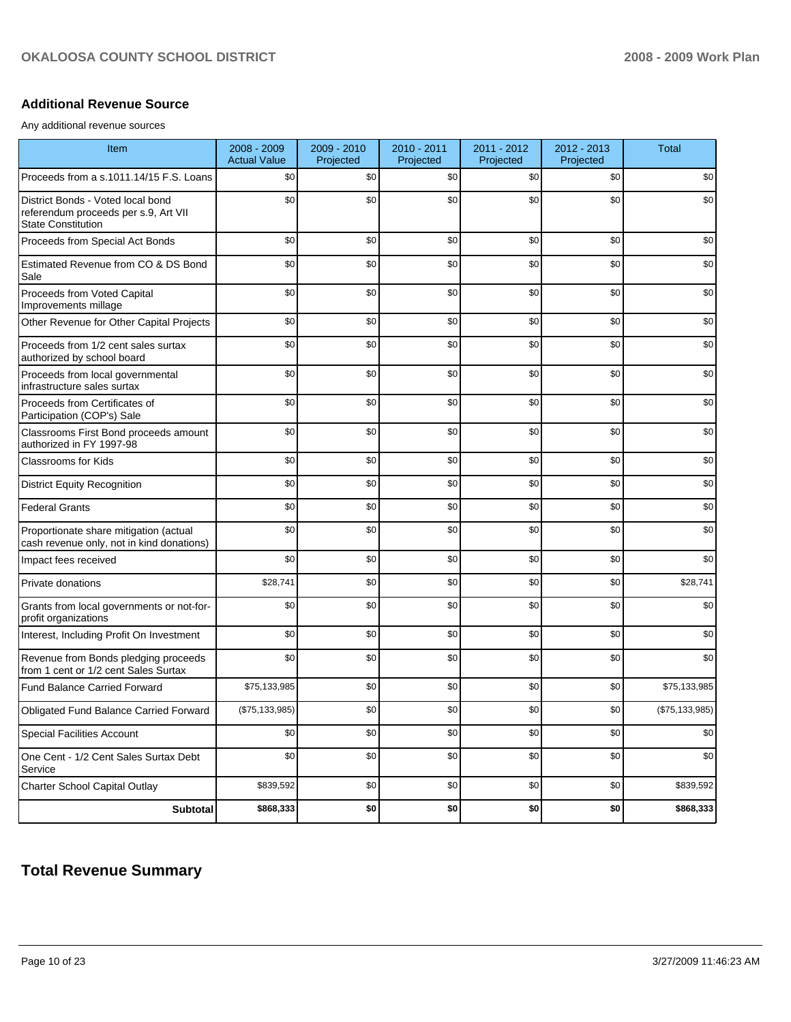## **Additional Revenue Source**

Any additional revenue sources

| Item                                                                                                   | 2008 - 2009<br><b>Actual Value</b> | 2009 - 2010<br>Projected | 2010 - 2011<br>Projected | 2011 - 2012<br>Projected | 2012 - 2013<br>Projected | <b>Total</b>     |
|--------------------------------------------------------------------------------------------------------|------------------------------------|--------------------------|--------------------------|--------------------------|--------------------------|------------------|
| Proceeds from a s.1011.14/15 F.S. Loans                                                                | \$0                                | \$0                      | \$0                      | \$0                      | \$0                      | \$0              |
| District Bonds - Voted local bond<br>referendum proceeds per s.9, Art VII<br><b>State Constitution</b> | \$0                                | \$0                      | \$0                      | \$0                      | \$0                      | \$0              |
| Proceeds from Special Act Bonds                                                                        | \$0                                | \$0                      | \$0                      | \$0                      | \$0                      | \$0              |
| Estimated Revenue from CO & DS Bond<br>Sale                                                            | \$0                                | \$0                      | \$0                      | \$0                      | \$0                      | \$0              |
| Proceeds from Voted Capital<br>Improvements millage                                                    | \$0                                | \$0                      | \$0                      | \$0                      | \$0                      | \$0              |
| Other Revenue for Other Capital Projects                                                               | \$0                                | \$0                      | \$0                      | \$0                      | \$0                      | \$0              |
| Proceeds from 1/2 cent sales surtax<br>authorized by school board                                      | \$0                                | \$0                      | \$0                      | \$0                      | \$0                      | \$0              |
| Proceeds from local governmental<br>infrastructure sales surtax                                        | \$0                                | \$0                      | \$0                      | \$0                      | \$0                      | \$0              |
| Proceeds from Certificates of<br>Participation (COP's) Sale                                            | \$0                                | \$0                      | \$0                      | \$0                      | \$0                      | \$0              |
| Classrooms First Bond proceeds amount<br>authorized in FY 1997-98                                      | \$0                                | \$0                      | \$0                      | \$0                      | \$0                      | \$0              |
| <b>Classrooms for Kids</b>                                                                             | \$0                                | \$0                      | \$0                      | \$0                      | \$0                      | \$0              |
| <b>District Equity Recognition</b>                                                                     | \$0                                | \$0                      | \$0                      | \$0                      | \$0                      | \$0              |
| <b>Federal Grants</b>                                                                                  | \$0                                | \$0                      | \$0                      | \$0                      | \$0                      | \$0              |
| Proportionate share mitigation (actual<br>cash revenue only, not in kind donations)                    | \$0                                | \$0                      | \$0                      | \$0                      | \$0                      | \$0              |
| Impact fees received                                                                                   | \$0                                | \$0                      | \$0                      | \$0                      | \$0                      | \$0              |
| Private donations                                                                                      | \$28,741                           | \$0                      | \$0                      | \$0                      | \$0                      | \$28,741         |
| Grants from local governments or not-for-<br>profit organizations                                      | \$0                                | \$0                      | \$0                      | \$0                      | \$0                      | \$0              |
| Interest, Including Profit On Investment                                                               | \$0                                | \$0                      | \$0                      | \$0                      | \$0                      | \$0              |
| Revenue from Bonds pledging proceeds<br>from 1 cent or 1/2 cent Sales Surtax                           | \$0                                | \$0                      | \$0                      | \$0                      | \$0                      | \$0              |
| <b>Fund Balance Carried Forward</b>                                                                    | \$75,133,985                       | \$0                      | \$0                      | \$0                      | \$0                      | \$75,133,985     |
| <b>Obligated Fund Balance Carried Forward</b>                                                          | (\$75,133,985)                     | \$0                      | \$0                      | \$0                      | \$0                      | (\$75, 133, 985) |
| <b>Special Facilities Account</b>                                                                      | \$0                                | \$0                      | \$0                      | \$0                      | \$0                      | \$0              |
| One Cent - 1/2 Cent Sales Surtax Debt<br>Service                                                       | \$0                                | \$0                      | \$0                      | \$0                      | \$0                      | \$0              |
| <b>Charter School Capital Outlay</b>                                                                   | \$839,592                          | \$0                      | \$0                      | \$0                      | \$0                      | \$839,592        |
| <b>Subtotal</b>                                                                                        | \$868,333                          | \$0                      | \$0                      | \$0                      | \$0                      | \$868,333        |

## **Total Revenue Summary**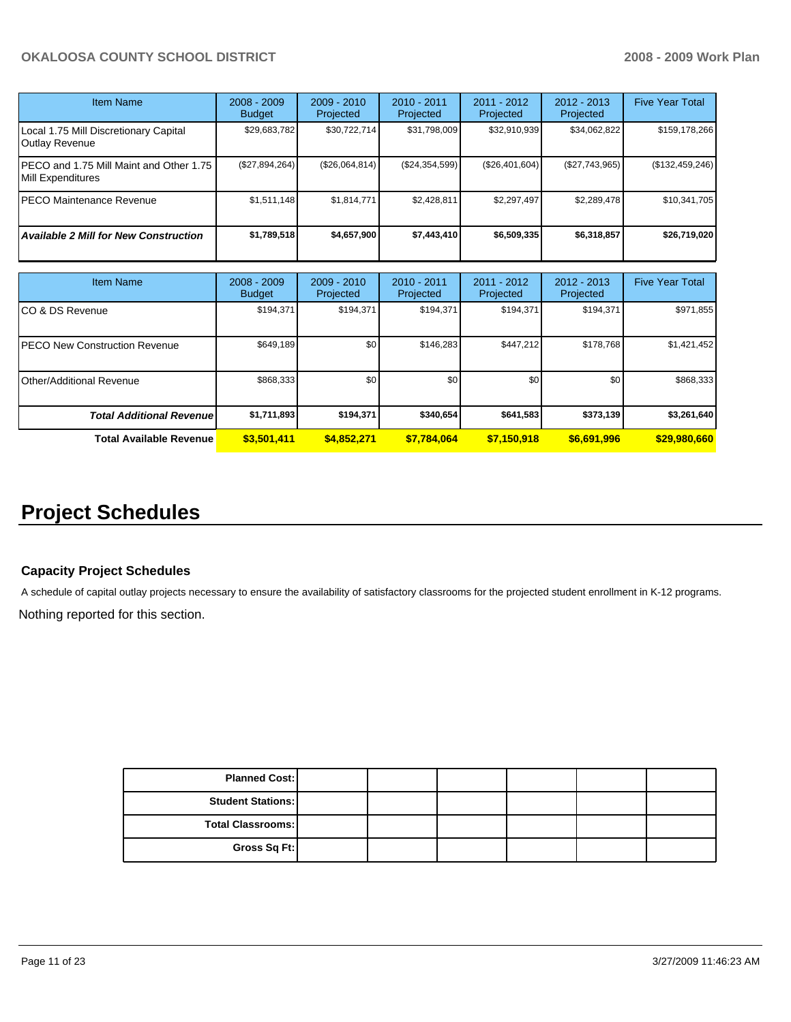| <b>Item Name</b>                                               | $2008 - 2009$<br><b>Budget</b> | $2009 - 2010$<br>Projected | $2010 - 2011$<br>Projected | $2011 - 2012$<br>Projected | $2012 - 2013$<br>Projected | <b>Five Year Total</b> |
|----------------------------------------------------------------|--------------------------------|----------------------------|----------------------------|----------------------------|----------------------------|------------------------|
| Local 1.75 Mill Discretionary Capital<br><b>Outlay Revenue</b> | \$29,683,782                   | \$30,722,714               | \$31,798,009               | \$32,910,939               | \$34,062,822               | \$159,178,266          |
| PECO and 1.75 Mill Maint and Other 1.75<br>Mill Expenditures   | $(\$27,894,264)$               | (\$26,064,814)             | (\$24,354,599)             | (\$26,401,604)             | (\$27,743,965)             | (\$132,459,246)        |
| PECO Maintenance Revenue                                       | \$1,511,148                    | \$1,814,771                | \$2,428,811                | \$2,297,497                | \$2,289,478                | \$10,341,705           |
| <b>Available 2 Mill for New Construction</b>                   | \$1,789,518                    | \$4,657,900                | \$7,443,410                | \$6,509,335                | \$6,318,857                | \$26,719,020           |

| Item Name                             | $2008 - 2009$<br><b>Budget</b> | $2009 - 2010$<br>Projected | $2010 - 2011$<br>Projected | $2011 - 2012$<br>Projected | $2012 - 2013$<br>Projected | <b>Five Year Total</b> |
|---------------------------------------|--------------------------------|----------------------------|----------------------------|----------------------------|----------------------------|------------------------|
| ICO & DS Revenue                      | \$194,371                      | \$194,371                  | \$194.371                  | \$194,371                  | \$194,371                  | \$971,855              |
| <b>IPECO New Construction Revenue</b> | \$649,189                      | \$0                        | \$146.283                  | \$447.212                  | \$178.768                  | \$1,421,452            |
| <b>I</b> Other/Additional Revenue     | \$868,333                      | \$0                        | \$0                        | \$0                        | \$0                        | \$868,333              |
| <b>Total Additional Revenuel</b>      | \$1,711,893                    | \$194,371                  | \$340,654                  | \$641,583                  | \$373,139                  | \$3,261,640            |
| <b>Total Available Revenue</b>        | \$3,501,411                    | \$4,852,271                | \$7.784.064                | \$7,150,918                | \$6,691,996                | \$29,980,660           |

## **Project Schedules**

## **Capacity Project Schedules**

A schedule of capital outlay projects necessary to ensure the availability of satisfactory classrooms for the projected student enrollment in K-12 programs. Nothing reported for this section.

| <b>Planned Cost:</b>     |  |  |  |
|--------------------------|--|--|--|
| <b>Student Stations:</b> |  |  |  |
| <b>Total Classrooms:</b> |  |  |  |
| Gross Sq Ft:             |  |  |  |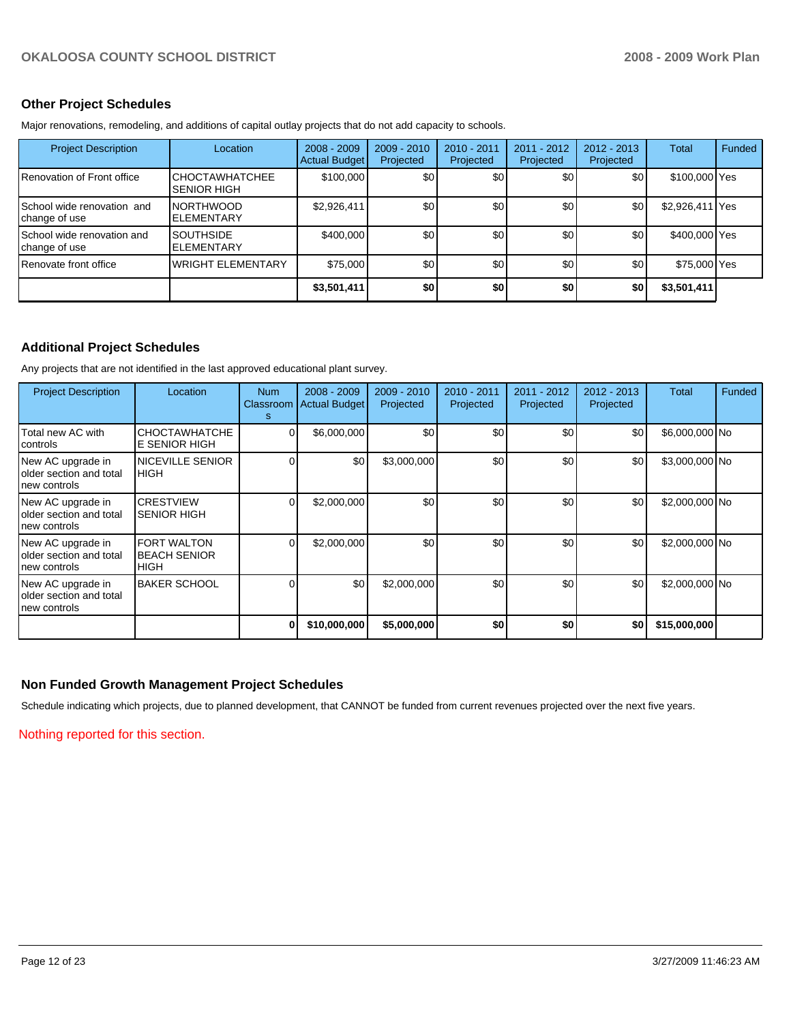## **Other Project Schedules**

Major renovations, remodeling, and additions of capital outlay projects that do not add capacity to schools.

| <b>Project Description</b>                           | Location                                    | $2008 - 2009$<br>Actual Budget | $2009 - 2010$<br>Projected | 2010 - 2011<br>Projected | 2011 - 2012<br>Projected | $2012 - 2013$<br>Projected | Total           | Funded |
|------------------------------------------------------|---------------------------------------------|--------------------------------|----------------------------|--------------------------|--------------------------|----------------------------|-----------------|--------|
| I Renovation of Front office                         | <b>CHOCTAWHATCHEE</b><br><b>SENIOR HIGH</b> | \$100,000                      | \$0                        | \$0                      | \$0                      | \$0                        | \$100,000 Yes   |        |
| <b>I</b> School wide renovation and<br>change of use | <b>NORTHWOOD</b><br><b>ELEMENTARY</b>       | \$2,926,411                    | \$0                        | \$0                      | \$0                      | \$0                        | \$2,926,411 Yes |        |
| School wide renovation and<br>change of use          | <b>SOUTHSIDE</b><br><b>ELEMENTARY</b>       | \$400,000                      | \$0                        | \$0                      | \$0                      | \$0                        | \$400,000 Yes   |        |
| I Renovate front office                              | <b>WRIGHT ELEMENTARY</b>                    | \$75,000                       | \$0                        | \$0                      | \$0                      | \$0                        | \$75,000 Yes    |        |
|                                                      |                                             | \$3,501,411                    | \$0                        | \$0                      | \$0                      | \$0                        | \$3,501,411     |        |

## **Additional Project Schedules**

Any projects that are not identified in the last approved educational plant survey.

| <b>Project Description</b>                                   | Location                                           | <b>Num</b><br>Classroom  <br>s. | $2008 - 2009$<br><b>Actual Budget</b> | $2009 - 2010$<br>Projected | 2010 - 2011<br>Projected | $2011 - 2012$<br>Projected | $2012 - 2013$<br>Projected | Total          | Funded |
|--------------------------------------------------------------|----------------------------------------------------|---------------------------------|---------------------------------------|----------------------------|--------------------------|----------------------------|----------------------------|----------------|--------|
| Total new AC with<br>controls                                | <b>CHOCTAWHATCHE</b><br><b>E SENIOR HIGH</b>       |                                 | \$6,000,000                           | \$0                        | \$0                      | \$0                        | \$0                        | \$6,000,000 No |        |
| New AC upgrade in<br>older section and total<br>new controls | <b>NICEVILLE SENIOR</b><br>IHIGH                   |                                 | \$0                                   | \$3,000,000                | \$0                      | \$0                        | \$0                        | \$3,000,000 No |        |
| New AC upgrade in<br>older section and total<br>new controls | <b>CRESTVIEW</b><br><b>SENIOR HIGH</b>             |                                 | \$2,000,000                           | \$0                        | \$0                      | \$0                        | \$0                        | \$2,000,000 No |        |
| New AC upgrade in<br>older section and total<br>new controls | <b>FORT WALTON</b><br>IBEACH SENIOR<br><b>HIGH</b> |                                 | \$2,000,000                           | \$0                        | \$0                      | \$0                        | \$0                        | \$2,000,000 No |        |
| New AC upgrade in<br>older section and total<br>new controls | <b>BAKER SCHOOL</b>                                |                                 | \$0                                   | \$2,000,000                | \$0                      | \$0                        | \$0                        | \$2,000,000 No |        |
|                                                              |                                                    | 0                               | \$10,000,000                          | \$5,000,000                | \$0                      | \$0                        | \$0                        | \$15,000,000   |        |

### **Non Funded Growth Management Project Schedules**

Schedule indicating which projects, due to planned development, that CANNOT be funded from current revenues projected over the next five years.

Nothing reported for this section.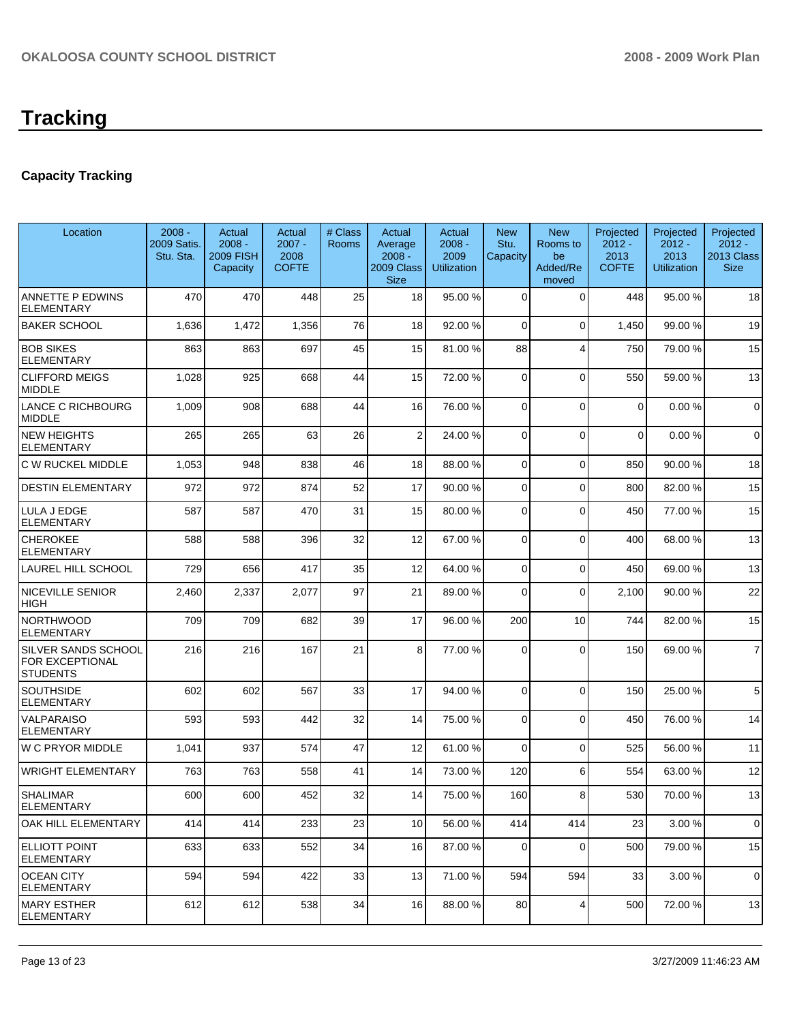# **Tracking**

## **Capacity Tracking**

| Location                                                         | $2008 -$<br>2009 Satis.<br>Stu. Sta. | Actual<br>$2008 -$<br><b>2009 FISH</b><br>Capacity | Actual<br>$2007 -$<br>2008<br><b>COFTE</b> | # Class<br>Rooms | Actual<br>Average<br>$2008 -$<br>2009 Class<br><b>Size</b> | Actual<br>$2008 -$<br>2009<br><b>Utilization</b> | <b>New</b><br>Stu.<br>Capacity | <b>New</b><br>Rooms to<br>be<br>Added/Re<br>moved | Projected<br>$2012 -$<br>2013<br><b>COFTE</b> | Projected<br>$2012 -$<br>2013<br><b>Utilization</b> | Projected<br>$2012 -$<br>2013 Class<br><b>Size</b> |
|------------------------------------------------------------------|--------------------------------------|----------------------------------------------------|--------------------------------------------|------------------|------------------------------------------------------------|--------------------------------------------------|--------------------------------|---------------------------------------------------|-----------------------------------------------|-----------------------------------------------------|----------------------------------------------------|
| ANNETTE P EDWINS<br><b>ELEMENTARY</b>                            | 470                                  | 470                                                | 448                                        | 25               | 18                                                         | 95.00 %                                          | $\Omega$                       | $\Omega$                                          | 448                                           | 95.00 %                                             | 18                                                 |
| <b>BAKER SCHOOL</b>                                              | 1,636                                | 1,472                                              | 1,356                                      | 76               | 18                                                         | 92.00 %                                          | $\Omega$                       | $\mathbf 0$                                       | 1,450                                         | 99.00 %                                             | 19                                                 |
| <b>BOB SIKES</b><br><b>ELEMENTARY</b>                            | 863                                  | 863                                                | 697                                        | 45               | 15                                                         | 81.00 %                                          | 88                             | $\overline{4}$                                    | 750                                           | 79.00 %                                             | 15                                                 |
| <b>CLIFFORD MEIGS</b><br>MIDDLE                                  | 1,028                                | 925                                                | 668                                        | 44               | 15                                                         | 72.00 %                                          | 0                              | $\mathbf 0$                                       | 550                                           | 59.00 %                                             | 13                                                 |
| <b>LANCE C RICHBOURG</b><br><b>MIDDLE</b>                        | 1,009                                | 908                                                | 688                                        | 44               | 16                                                         | 76.00 %                                          | $\Omega$                       | $\Omega$                                          | $\mathbf 0$                                   | 0.00%                                               | $\mathbf 0$                                        |
| <b>NEW HEIGHTS</b><br><b>ELEMENTARY</b>                          | 265                                  | 265                                                | 63                                         | 26               | $\overline{2}$                                             | 24.00 %                                          | $\Omega$                       | $\overline{0}$                                    | $\mathbf 0$                                   | 0.00%                                               | $\mathbf 0$                                        |
| C W RUCKEL MIDDLE                                                | 1,053                                | 948                                                | 838                                        | 46               | 18                                                         | 88.00 %                                          | $\Omega$                       | $\mathbf 0$                                       | 850                                           | 90.00 %                                             | 18                                                 |
| <b>DESTIN ELEMENTARY</b>                                         | 972                                  | 972                                                | 874                                        | 52               | 17                                                         | 90.00 %                                          | $\Omega$                       | $\Omega$                                          | 800                                           | 82.00 %                                             | 15                                                 |
| LULA J EDGE<br><b>ELEMENTARY</b>                                 | 587                                  | 587                                                | 470                                        | 31               | 15                                                         | 80.00 %                                          | 0                              | $\Omega$                                          | 450                                           | 77.00 %                                             | 15                                                 |
| <b>CHEROKEE</b><br><b>ELEMENTARY</b>                             | 588                                  | 588                                                | 396                                        | 32               | 12                                                         | 67.00 %                                          | $\mathbf 0$                    | $\mathbf 0$                                       | 400                                           | 68.00 %                                             | 13                                                 |
| LAUREL HILL SCHOOL                                               | 729                                  | 656                                                | 417                                        | 35               | 12                                                         | 64.00 %                                          | $\Omega$                       | $\Omega$                                          | 450                                           | 69.00 %                                             | 13                                                 |
| <b>NICEVILLE SENIOR</b><br><b>HIGH</b>                           | 2,460                                | 2,337                                              | 2,077                                      | 97               | 21                                                         | 89.00 %                                          | $\Omega$                       | $\mathbf 0$                                       | 2,100                                         | 90.00 %                                             | 22                                                 |
| <b>NORTHWOOD</b><br><b>ELEMENTARY</b>                            | 709                                  | 709                                                | 682                                        | 39               | 17                                                         | 96.00 %                                          | 200                            | 10                                                | 744                                           | 82.00 %                                             | 15                                                 |
| <b>SILVER SANDS SCHOOL</b><br>FOR EXCEPTIONAL<br><b>STUDENTS</b> | 216                                  | 216                                                | 167                                        | 21               | 8                                                          | 77.00 %                                          | $\Omega$                       | $\Omega$                                          | 150                                           | 69.00 %                                             | $\overline{7}$                                     |
| <b>SOUTHSIDE</b><br><b>ELEMENTARY</b>                            | 602                                  | 602                                                | 567                                        | 33               | 17                                                         | 94.00 %                                          | $\Omega$                       | 0                                                 | 150                                           | 25.00 %                                             | 5                                                  |
| VALPARAISO<br><b>ELEMENTARY</b>                                  | 593                                  | 593                                                | 442                                        | 32               | 14                                                         | 75.00 %                                          | $\Omega$                       | $\mathbf 0$                                       | 450                                           | 76.00 %                                             | 14                                                 |
| <b>W C PRYOR MIDDLE</b>                                          | 1,041                                | 937                                                | 574                                        | 47               | 12                                                         | 61.00 %                                          | $\Omega$                       | $\Omega$                                          | 525                                           | 56.00 %                                             | 11                                                 |
| <b>WRIGHT ELEMENTARY</b>                                         | 763                                  | 763                                                | 558                                        | 41               | 14                                                         | 73.00 %                                          | 120                            | 6                                                 | 554                                           | 63.00 %                                             | 12                                                 |
| <b>SHALIMAR</b><br><b>ELEMENTARY</b>                             | 600                                  | 600                                                | 452                                        | 32               | 14                                                         | 75.00 %                                          | 160                            | 8                                                 | 530                                           | 70.00 %                                             | 13                                                 |
| <b>OAK HILL ELEMENTARY</b>                                       | 414                                  | 414                                                | 233                                        | 23               | 10                                                         | 56.00 %                                          | 414                            | 414                                               | 23                                            | 3.00 %                                              | 0                                                  |
| <b>ELLIOTT POINT</b><br>ELEMENTARY                               | 633                                  | 633                                                | 552                                        | 34               | 16                                                         | 87.00 %                                          | $\Omega$                       | $\mathbf 0$                                       | 500                                           | 79.00 %                                             | 15                                                 |
| <b>OCEAN CITY</b><br><b>ELEMENTARY</b>                           | 594                                  | 594                                                | 422                                        | 33               | 13                                                         | 71.00 %                                          | 594                            | 594                                               | 33                                            | 3.00 %                                              | $\mathbf 0$                                        |
| <b>MARY ESTHER</b><br><b>ELEMENTARY</b>                          | 612                                  | 612                                                | 538                                        | 34               | 16                                                         | 88.00 %                                          | 80                             | 4                                                 | 500                                           | 72.00 %                                             | 13                                                 |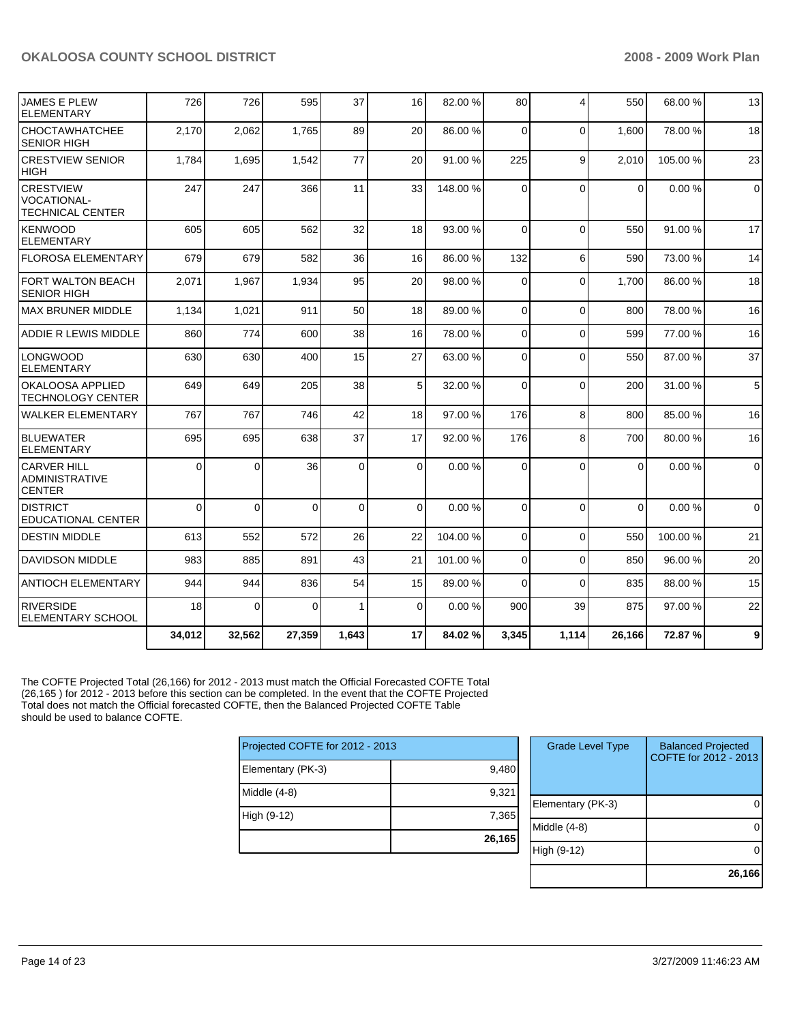| <b>JAMES E PLEW</b><br><b>ELEMENTARY</b>                          | 726      | 726      | 595      | 37          | 16              | 82.00 %  | 80             | $\overline{4}$ | 550         | 68.00 %  | 13             |
|-------------------------------------------------------------------|----------|----------|----------|-------------|-----------------|----------|----------------|----------------|-------------|----------|----------------|
| <b>CHOCTAWHATCHEE</b><br><b>SENIOR HIGH</b>                       | 2,170    | 2,062    | 1,765    | 89          | 20              | 86.00 %  | $\Omega$       | $\Omega$       | 1,600       | 78.00 %  | 18             |
| <b>CRESTVIEW SENIOR</b><br><b>HIGH</b>                            | 1,784    | 1,695    | 1,542    | 77          | 20              | 91.00 %  | 225            | 9              | 2.010       | 105.00 % | 23             |
| <b>CRESTVIEW</b><br><b>VOCATIONAL-</b><br><b>TECHNICAL CENTER</b> | 247      | 247      | 366      | 11          | 33              | 148.00 % | $\Omega$       | $\Omega$       | $\mathbf 0$ | 0.00%    | $\overline{0}$ |
| <b>IKENWOOD</b><br><b>ELEMENTARY</b>                              | 605      | 605      | 562      | 32          | 18              | 93.00 %  | $\Omega$       | $\Omega$       | 550         | 91.00 %  | 17             |
| <b>FLOROSA ELEMENTARY</b>                                         | 679      | 679      | 582      | 36          | 16              | 86.00 %  | 132            | 6              | 590         | 73.00 %  | 14             |
| FORT WALTON BEACH<br><b>SENIOR HIGH</b>                           | 2,071    | 1,967    | 1,934    | 95          | 20              | 98.00 %  | $\Omega$       | $\Omega$       | 1,700       | 86.00 %  | 18             |
| IMAX BRUNER MIDDLE                                                | 1,134    | 1,021    | 911      | 50          | 18              | 89.00 %  | $\Omega$       | $\Omega$       | 800         | 78.00 %  | 16             |
| ADDIE R LEWIS MIDDLE                                              | 860      | 774      | 600      | 38          | 16              | 78.00 %  | $\Omega$       | $\Omega$       | 599         | 77.00 %  | 16             |
| <b>LONGWOOD</b><br><b>ELEMENTARY</b>                              | 630      | 630      | 400      | 15          | 27              | 63.00 %  | $\Omega$       | $\Omega$       | 550         | 87.00 %  | 37             |
| <b>OKALOOSA APPLIED</b><br><b>TECHNOLOGY CENTER</b>               | 649      | 649      | 205      | 38          | 5 <sup>1</sup>  | 32.00 %  | $\Omega$       | $\Omega$       | 200         | 31.00 %  | 5 <sup>5</sup> |
| <b>WALKER ELEMENTARY</b>                                          | 767      | 767      | 746      | 42          | 18              | 97.00 %  | 176            | 8              | 800         | 85.00 %  | 16             |
| <b>BLUEWATER</b><br><b>ELEMENTARY</b>                             | 695      | 695      | 638      | 37          | 17              | 92.00 %  | 176            | 8              | 700         | 80.00 %  | 16             |
| ICARVER HILL<br><b>ADMINISTRATIVE</b><br><b>CENTER</b>            | 0        | $\Omega$ | 36       | $\mathbf 0$ | $\overline{0}$  | 0.00%    | $\Omega$       | $\Omega$       | $\Omega$    | 0.00%    | $\overline{0}$ |
| <b>DISTRICT</b><br><b>EDUCATIONAL CENTER</b>                      | $\Omega$ | $\Omega$ | $\Omega$ | $\Omega$    | $\Omega$        | 0.00%    | $\Omega$       | $\Omega$       | $\Omega$    | 0.00%    | $\Omega$       |
| <b>DESTIN MIDDLE</b>                                              | 613      | 552      | 572      | 26          | 22              | 104.00%  | $\Omega$       | $\Omega$       | 550         | 100.00 % | 21             |
| <b>DAVIDSON MIDDLE</b>                                            | 983      | 885      | 891      | 43          | 21              | 101.00 % | $\overline{0}$ | 0              | 850         | 96.00 %  | 20             |
| <b>ANTIOCH ELEMENTARY</b>                                         | 944      | 944      | 836      | 54          | 15 <sup>1</sup> | 89.00 %  | $\Omega$       | $\Omega$       | 835         | 88.00 %  | 15             |
| <b>RIVERSIDE</b><br><b>ELEMENTARY SCHOOL</b>                      | 18       | $\Omega$ | $\Omega$ | 1           | $\Omega$        | 0.00%    | 900            | 39             | 875         | 97.00 %  | 22             |
|                                                                   | 34,012   | 32,562   | 27,359   | 1.643       | 17              | 84.02%   | 3,345          | 1,114          | 26,166      | 72.87%   | 9              |

The COFTE Projected Total (26,166) for 2012 - 2013 must match the Official Forecasted COFTE Total (26,165 ) for 2012 - 2013 before this section can be completed. In the event that the COFTE Projected Total does not match the Official forecasted COFTE, then the Balanced Projected COFTE Table should be used to balance COFTE.

| Projected COFTE for 2012 - 2013 |        |  |  |  |  |
|---------------------------------|--------|--|--|--|--|
| Elementary (PK-3)               | 9,480  |  |  |  |  |
| Middle (4-8)                    | 9,321  |  |  |  |  |
| High (9-12)                     | 7,365  |  |  |  |  |
|                                 | 26,165 |  |  |  |  |

| <b>Grade Level Type</b> | <b>Balanced Projected</b><br>COFTE for 2012 - 2013 |
|-------------------------|----------------------------------------------------|
| Elementary (PK-3)       |                                                    |
| Middle (4-8)            |                                                    |
| High (9-12)             |                                                    |
|                         | 26,166                                             |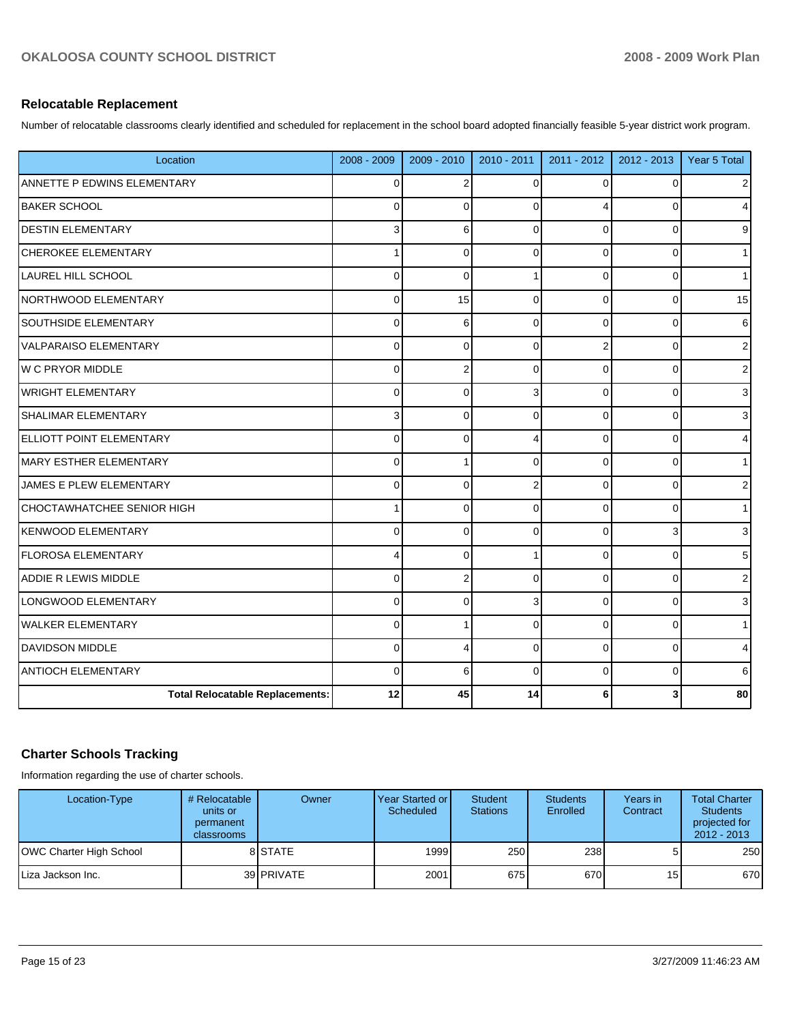## **Relocatable Replacement**

Number of relocatable classrooms clearly identified and scheduled for replacement in the school board adopted financially feasible 5-year district work program.

| Location                               | 2008 - 2009    | 2009 - 2010    | 2010 - 2011    | $2011 - 2012$  | $2012 - 2013$ | Year 5 Total |
|----------------------------------------|----------------|----------------|----------------|----------------|---------------|--------------|
| ANNETTE P EDWINS ELEMENTARY            | $\mathbf 0$    | $\overline{2}$ | $\Omega$       | $\Omega$       | $\Omega$      | 2            |
| <b>BAKER SCHOOL</b>                    | $\mathbf 0$    | $\Omega$       | $\Omega$       | 4              | $\Omega$      | 4            |
| <b>DESTIN ELEMENTARY</b>               | 3              | 6              | $\Omega$       | $\Omega$       | $\Omega$      | 9            |
| CHEROKEE ELEMENTARY                    | 1              | $\Omega$       | $\Omega$       | $\Omega$       | $\Omega$      |              |
| <b>LAUREL HILL SCHOOL</b>              | 0              | $\Omega$       | 1              | $\Omega$       | $\Omega$      | 1            |
| NORTHWOOD ELEMENTARY                   | 0              | 15             | $\Omega$       | 0              | $\Omega$      | 15           |
| <b>SOUTHSIDE ELEMENTARY</b>            | 0              | 6              | $\Omega$       | $\Omega$       | 0             | 6            |
| <b>VALPARAISO ELEMENTARY</b>           | $\mathbf 0$    | $\Omega$       | $\Omega$       | $\overline{2}$ | $\Omega$      | 2            |
| W C PRYOR MIDDLE                       | $\mathbf 0$    | $\overline{2}$ | $\Omega$       | $\Omega$       | $\Omega$      | 2            |
| WRIGHT ELEMENTARY                      | $\overline{0}$ | $\Omega$       | 3              | $\Omega$       | $\Omega$      | 3            |
| <b>SHALIMAR ELEMENTARY</b>             | 3              | $\mathbf 0$    | $\Omega$       | 0              | $\Omega$      | 3            |
| <b>ELLIOTT POINT ELEMENTARY</b>        | $\pmb{0}$      | $\mathbf 0$    | 4              | 0              | $\Omega$      | 4            |
| MARY ESTHER ELEMENTARY                 | 0              |                | $\Omega$       | $\Omega$       | $\Omega$      |              |
| JAMES E PLEW ELEMENTARY                | $\mathbf 0$    | $\Omega$       | $\overline{2}$ | $\Omega$       | $\Omega$      | 2            |
| <b>CHOCTAWHATCHEE SENIOR HIGH</b>      | 1              | $\Omega$       | $\Omega$       | $\Omega$       | $\Omega$      |              |
| <b>KENWOOD ELEMENTARY</b>              | 0              | $\Omega$       | $\Omega$       | $\Omega$       |               | 3            |
| <b>FLOROSA ELEMENTARY</b>              | 4              | $\Omega$       | 1              | $\Omega$       | $\Omega$      | 5            |
| <b>ADDIE R LEWIS MIDDLE</b>            | 0              | 2              | $\Omega$       | $\Omega$       | $\Omega$      | 2            |
| LONGWOOD ELEMENTARY                    | 0              | $\Omega$       | 3              | $\Omega$       | $\Omega$      | 3            |
| <b>WALKER ELEMENTARY</b>               | $\mathbf 0$    |                | $\Omega$       | $\Omega$       | $\Omega$      |              |
| <b>DAVIDSON MIDDLE</b>                 | $\mathbf 0$    | $\overline{4}$ | $\Omega$       | $\Omega$       | $\Omega$      | 4            |
| <b>ANTIOCH ELEMENTARY</b>              | $\mathbf 0$    | 6              | $\Omega$       | 0              | $\Omega$      | 6            |
| <b>Total Relocatable Replacements:</b> | 12             | 45             | 14             | 6              |               | 80           |

## **Charter Schools Tracking**

Information regarding the use of charter schools.

| Location-Type           | # Relocatable  <br>units or<br>permanent<br><b>classrooms</b> | Owner      | Year Started or I<br>Scheduled | Student<br><b>Stations</b> | <b>Students</b><br>Enrolled | Years in<br>Contract | <b>Total Charter</b><br><b>Students</b><br>projected for<br>$2012 - 2013$ |
|-------------------------|---------------------------------------------------------------|------------|--------------------------------|----------------------------|-----------------------------|----------------------|---------------------------------------------------------------------------|
| OWC Charter High School |                                                               | 8 ISTATE   | 1999                           | 250                        | 238                         |                      | 250                                                                       |
| l Liza Jackson Inc.     |                                                               | 39 PRIVATE | 2001                           | 675                        | 670I                        | 15 <sub>1</sub>      | 670                                                                       |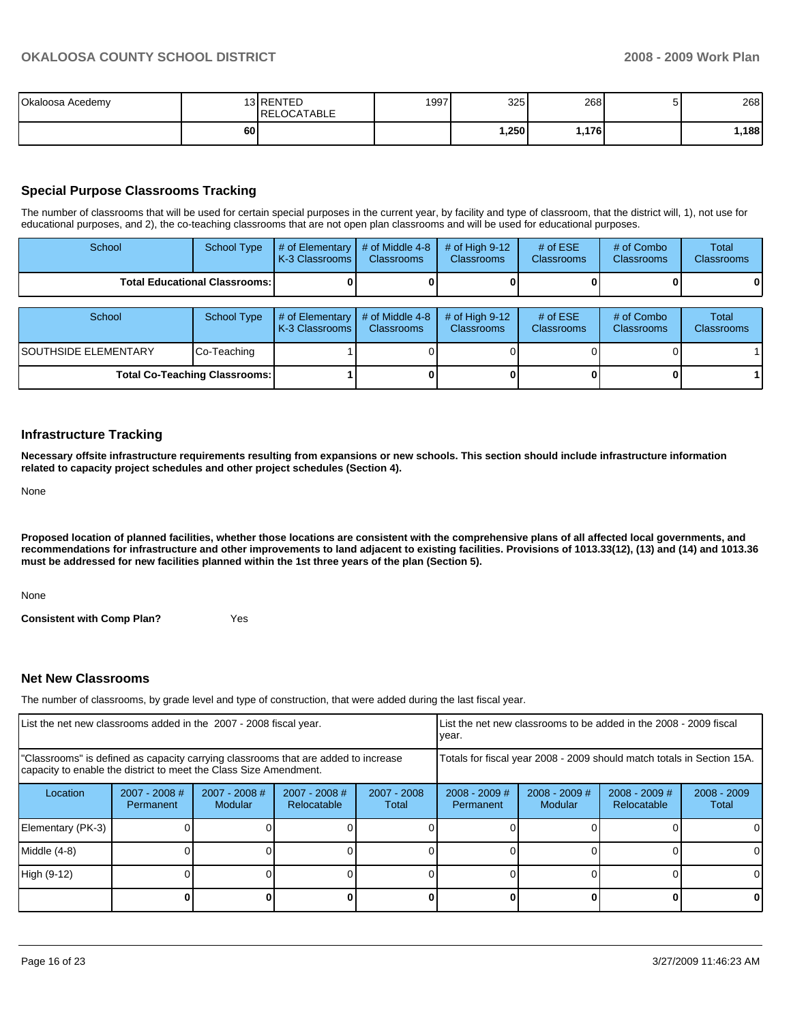| Okaloosa Acedemy |    | 13 RENTED<br>RELOCATABLE | 1997 | 325  | 268    | ັ | 268  |
|------------------|----|--------------------------|------|------|--------|---|------|
|                  | 60 |                          |      | .250 | ا176.، |   | .188 |

## **Special Purpose Classrooms Tracking**

The number of classrooms that will be used for certain special purposes in the current year, by facility and type of classroom, that the district will, 1), not use for educational purposes, and 2), the co-teaching classrooms that are not open plan classrooms and will be used for educational purposes.

| School                                 | <b>School Type</b>                   | # of Elementary<br>K-3 Classrooms | # of Middle 4-8<br><b>Classrooms</b> | $#$ of High 9-12<br><b>Classrooms</b> | # of $ESE$<br>Classrooms | # of Combo<br><b>Classrooms</b> | Total<br><b>Classrooms</b> |
|----------------------------------------|--------------------------------------|-----------------------------------|--------------------------------------|---------------------------------------|--------------------------|---------------------------------|----------------------------|
| <b>Total Educational Classrooms: I</b> |                                      |                                   |                                      |                                       |                          |                                 | o                          |
|                                        |                                      |                                   |                                      |                                       |                          |                                 |                            |
| School                                 | <b>School Type</b>                   | # of Elementary<br>K-3 Classrooms | # of Middle 4-8<br><b>Classrooms</b> | # of High $9-12$<br><b>Classrooms</b> | # of $ESE$<br>Classrooms | # of Combo<br><b>Classrooms</b> | Total<br><b>Classrooms</b> |
| ISOUTHSIDE ELEMENTARY                  | Co-Teaching                          |                                   |                                      |                                       |                          |                                 |                            |
|                                        | <b>Total Co-Teaching Classrooms:</b> |                                   |                                      |                                       |                          |                                 |                            |

### **Infrastructure Tracking**

**Necessary offsite infrastructure requirements resulting from expansions or new schools. This section should include infrastructure information related to capacity project schedules and other project schedules (Section 4).** 

None

**Proposed location of planned facilities, whether those locations are consistent with the comprehensive plans of all affected local governments, and recommendations for infrastructure and other improvements to land adjacent to existing facilities. Provisions of 1013.33(12), (13) and (14) and 1013.36 must be addressed for new facilities planned within the 1st three years of the plan (Section 5).** 

None

**Consistent with Comp Plan?** Yes

### **Net New Classrooms**

The number of classrooms, by grade level and type of construction, that were added during the last fiscal year.

| List the net new classrooms added in the 2007 - 2008 fiscal year.                                                                                       |                              |                                   |                              | year.                                                                  | List the net new classrooms to be added in the 2008 - 2009 fiscal |                            |                                |                        |
|---------------------------------------------------------------------------------------------------------------------------------------------------------|------------------------------|-----------------------------------|------------------------------|------------------------------------------------------------------------|-------------------------------------------------------------------|----------------------------|--------------------------------|------------------------|
| "Classrooms" is defined as capacity carrying classrooms that are added to increase<br>capacity to enable the district to meet the Class Size Amendment. |                              |                                   |                              | Totals for fiscal year 2008 - 2009 should match totals in Section 15A. |                                                                   |                            |                                |                        |
| Location                                                                                                                                                | $2007 - 2008$ #<br>Permanent | $2007 - 2008$ #<br><b>Modular</b> | 2007 - 2008 #<br>Relocatable | 2007 - 2008<br>Total                                                   | $2008 - 2009$ #<br>Permanent                                      | $2008 - 2009$ #<br>Modular | $2008 - 2009$ #<br>Relocatable | $2008 - 2009$<br>Total |
| Elementary (PK-3)                                                                                                                                       |                              |                                   |                              |                                                                        |                                                                   |                            |                                | ΩI                     |
| Middle (4-8)                                                                                                                                            |                              |                                   |                              |                                                                        |                                                                   |                            |                                | $\Omega$               |
| High (9-12)                                                                                                                                             |                              |                                   |                              |                                                                        |                                                                   |                            |                                | ΩI                     |
|                                                                                                                                                         |                              |                                   |                              |                                                                        |                                                                   |                            | n                              | 0                      |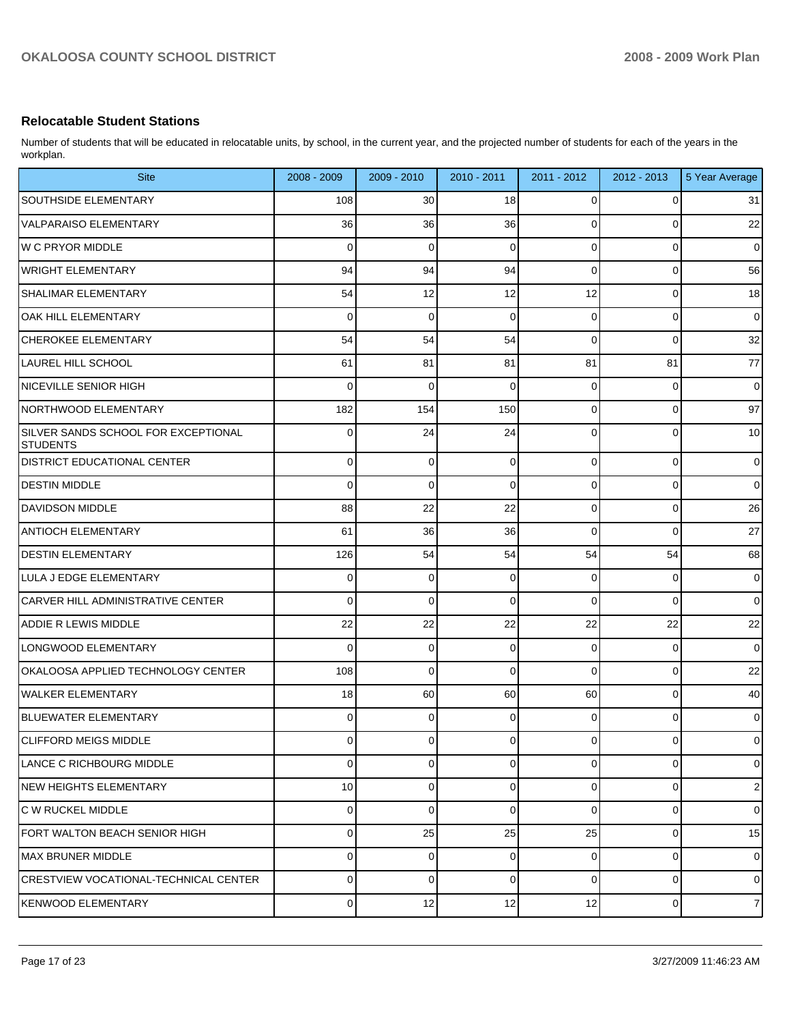## **Relocatable Student Stations**

Number of students that will be educated in relocatable units, by school, in the current year, and the projected number of students for each of the years in the workplan.

| <b>Site</b>                                            | $2008 - 2009$  | 2009 - 2010 | 2010 - 2011 | $2011 - 2012$  | 2012 - 2013 | 5 Year Average |
|--------------------------------------------------------|----------------|-------------|-------------|----------------|-------------|----------------|
| <b>SOUTHSIDE ELEMENTARY</b>                            | 108            | 30          | 18          | 0              | 0           | 31             |
| VALPARAISO ELEMENTARY                                  | 36             | 36          | 36          | 0              | 0           | 22             |
| W C PRYOR MIDDLE                                       | 0              | 0           | 0           | 0              | 0           | $\pmb{0}$      |
| WRIGHT ELEMENTARY                                      | 94             | 94          | 94          | 0              | 0           | 56             |
| <b>SHALIMAR ELEMENTARY</b>                             | 54             | 12          | 12          | 12             | 0           | 18             |
| OAK HILL ELEMENTARY                                    | 0              | 0           | $\Omega$    | 0              | 0           | $\pmb{0}$      |
| <b>CHEROKEE ELEMENTARY</b>                             | 54             | 54          | 54          | 0              | 0           | 32             |
| <b>LAUREL HILL SCHOOL</b>                              | 61             | 81          | 81          | 81             | 81          | 77             |
| NICEVILLE SENIOR HIGH                                  | 0              | 0           | $\Omega$    | 0              | 0           | $\pmb{0}$      |
| NORTHWOOD ELEMENTARY                                   | 182            | 154         | 150         | 0              | 0           | 97             |
| SILVER SANDS SCHOOL FOR EXCEPTIONAL<br><b>STUDENTS</b> | 0              | 24          | 24          | 0              | 0           | 10             |
| <b>DISTRICT EDUCATIONAL CENTER</b>                     | 0              | 0           | 0           | 0              | 0           | 0              |
| <b>DESTIN MIDDLE</b>                                   | 0              | 0           | 0           | 0              | 0           | $\mathbf 0$    |
| <b>DAVIDSON MIDDLE</b>                                 | 88             | 22          | 22          | 0              | 0           | 26             |
| <b>ANTIOCH ELEMENTARY</b>                              | 61             | 36          | 36          | 0              | 0           | 27             |
| <b>DESTIN ELEMENTARY</b>                               | 126            | 54          | 54          | 54             | 54          | 68             |
| LULA J EDGE ELEMENTARY                                 | 0              | 0           | 0           | 0              | 0           | 0              |
| <b>CARVER HILL ADMINISTRATIVE CENTER</b>               | 0              | 0           | 0           | 0              | 0           | $\mathbf 0$    |
| <b>ADDIE R LEWIS MIDDLE</b>                            | 22             | 22          | 22          | 22             | 22          | 22             |
| LONGWOOD ELEMENTARY                                    | 0              | 0           | 0           | 0              | 0           | $\mathbf 0$    |
| OKALOOSA APPLIED TECHNOLOGY CENTER                     | 108            | 0           | 0           | 0              | 0           | 22             |
| <b>WALKER ELEMENTARY</b>                               | 18             | 60          | 60          | 60             | 0           | 40             |
| <b>BLUEWATER ELEMENTARY</b>                            | 0              | 0           | $\Omega$    | 0              | 0           | 0              |
| <b>CLIFFORD MEIGS MIDDLE</b>                           | $\overline{0}$ | 0           | $\Omega$    | $\overline{0}$ | 0           | 0              |
| LANCE C RICHBOURG MIDDLE                               | 0              | 0           | 0           | 0              | 0           | $\mathbf 0$    |
| <b>NEW HEIGHTS ELEMENTARY</b>                          | 10             | 0           | 0           | 0              | 0           | $\overline{2}$ |
| C W RUCKEL MIDDLE                                      | 0              | 0           | 0           | 0              | 0           | $\mathbf 0$    |
| FORT WALTON BEACH SENIOR HIGH                          | 0              | 25          | 25          | 25             | 0           | 15             |
| <b>MAX BRUNER MIDDLE</b>                               | 0              | 0           | 0           | 0              | 0           | $\mathbf 0$    |
| <b>CRESTVIEW VOCATIONAL-TECHNICAL CENTER</b>           | 0              | 0           | 0           | 0              | 0           | $\mathbf 0$    |
| <b>KENWOOD ELEMENTARY</b>                              | $\overline{0}$ | 12          | 12          | 12             | 0           | $\overline{7}$ |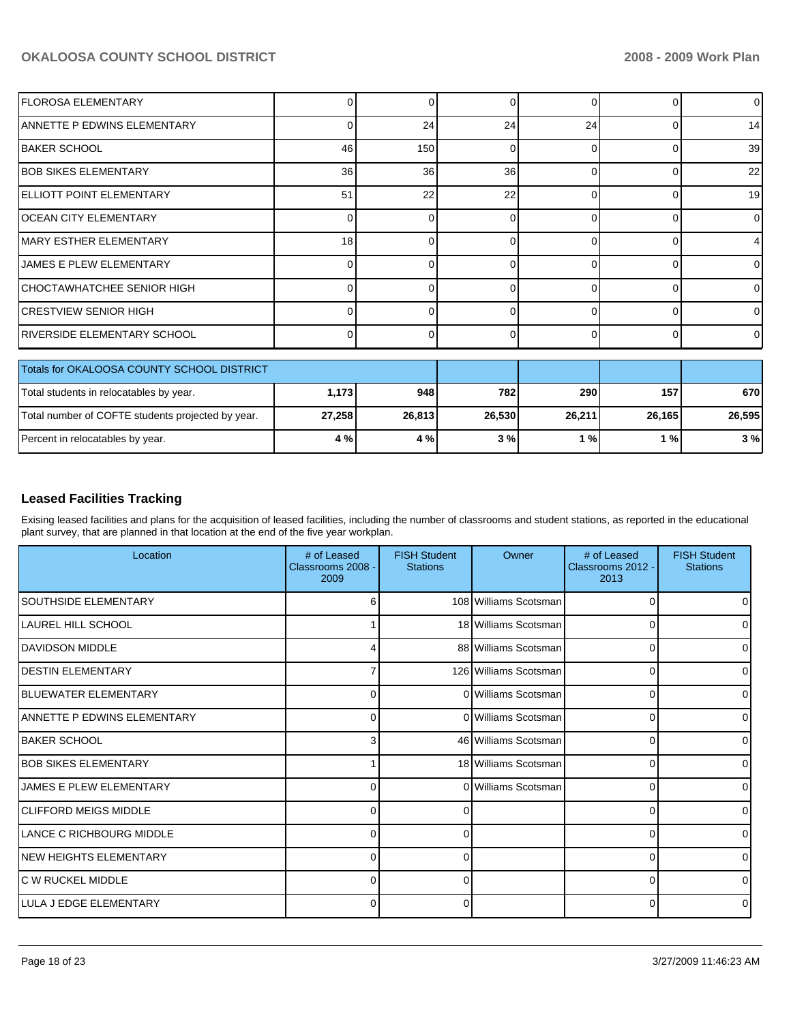| lflorosa elementary                               | 01              | $\Omega$ | 0        |          | 0            | 0        |
|---------------------------------------------------|-----------------|----------|----------|----------|--------------|----------|
| <b>ANNETTE P EDWINS ELEMENTARY</b>                | 0               | 24       | 24       | 24       | <sup>0</sup> | 14       |
| <b>BAKER SCHOOL</b>                               | 46              | 150      | 0        | ∩        | 0            | 39       |
| <b>BOB SIKES ELEMENTARY</b>                       | 36 <sup>1</sup> | 36       | 36       | $\Omega$ | 0            | 22       |
| <b>IELLIOTT POINT ELEMENTARY</b>                  | 51              | 22       | 22       |          | 0            | 19       |
| <b>IOCEAN CITY ELEMENTARY</b>                     | $\overline{0}$  | $\Omega$ | 0        | ∩        | $\Omega$     | 0        |
| MARY ESTHER ELEMENTARY                            | 18              | $\Omega$ | 0        |          | O            |          |
| JAMES E PLEW ELEMENTARY                           | $\Omega$        | 0        | 0        | ∩        | 0            | 0        |
| CHOCTAWHATCHEE SENIOR HIGH                        | U               | n        | $\Omega$ | r        | $\Omega$     | $\Omega$ |
| <b>CRESTVIEW SENIOR HIGH</b>                      | $\Omega$        | $\Omega$ | 0        | ſ        | 0            | 0        |
| IRIVERSIDE ELEMENTARY SCHOOL                      | $\Omega$        | $\Omega$ | 0        | $\Omega$ | 0            | 0        |
| Totals for OKALOOSA COUNTY SCHOOL DISTRICT        |                 |          |          |          |              |          |
| Total students in relocatables by year.           | 1,173           | 948      | 782      | 290      | 157          | 670      |
| Total number of COFTE students projected by year. | 27,258          | 26,813   | 26,530   | 26,211   | 26,165       | 26,595   |
| Percent in relocatables by year.                  | 4 %             | 4 %      | 3%       | 1%       | 1%           | 3%       |

## **Leased Facilities Tracking**

Exising leased facilities and plans for the acquisition of leased facilities, including the number of classrooms and student stations, as reported in the educational plant survey, that are planned in that location at the end of the five year workplan.

| Location                       | # of Leased<br>Classrooms 2008 -<br>2009 | <b>FISH Student</b><br><b>Stations</b> | Owner                 | # of Leased<br>Classrooms 2012 -<br>2013 | <b>FISH Student</b><br><b>Stations</b> |
|--------------------------------|------------------------------------------|----------------------------------------|-----------------------|------------------------------------------|----------------------------------------|
| <b>SOUTHSIDE ELEMENTARY</b>    | 6                                        |                                        | 108 Williams Scotsman | 0                                        |                                        |
| LAUREL HILL SCHOOL             |                                          |                                        | 18 Williams Scotsman  | 0                                        | 0                                      |
| DAVIDSON MIDDLE                |                                          |                                        | 88 Williams Scotsman  | 0                                        | 0                                      |
| <b>IDESTIN ELEMENTARY</b>      |                                          |                                        | 126 Williams Scotsman | 0                                        | 0                                      |
| <b>IBLUEWATER ELEMENTARY</b>   | 0                                        |                                        | 0 Williams Scotsman   | 0                                        | 0                                      |
| ANNETTE P EDWINS ELEMENTARY    | $\Omega$                                 |                                        | 0 Williams Scotsman   | 0                                        | $\Omega$                               |
| <b>IBAKER SCHOOL</b>           | З                                        |                                        | 46 Williams Scotsman  | $\Omega$                                 | 0                                      |
| <b>BOB SIKES ELEMENTARY</b>    |                                          |                                        | 18 Williams Scotsman  | 0                                        | 0                                      |
| <b>JAMES E PLEW ELEMENTARY</b> | C                                        |                                        | 0 Williams Scotsman   | 0                                        | $\Omega$                               |
| <b>ICLIFFORD MEIGS MIDDLE</b>  | C                                        |                                        |                       | 0                                        | 0                                      |
| LANCE C RICHBOURG MIDDLE       | 0                                        | $\Omega$                               |                       | 0                                        | 0                                      |
| <b>NEW HEIGHTS ELEMENTARY</b>  | C                                        | O                                      |                       | 0                                        | $\Omega$                               |
| IC W RUCKEL MIDDLE             | $\Omega$                                 | 0                                      |                       | 0                                        | 0                                      |
| ILULA J EDGE ELEMENTARY        | C                                        | ∩                                      |                       | 0                                        | $\Omega$                               |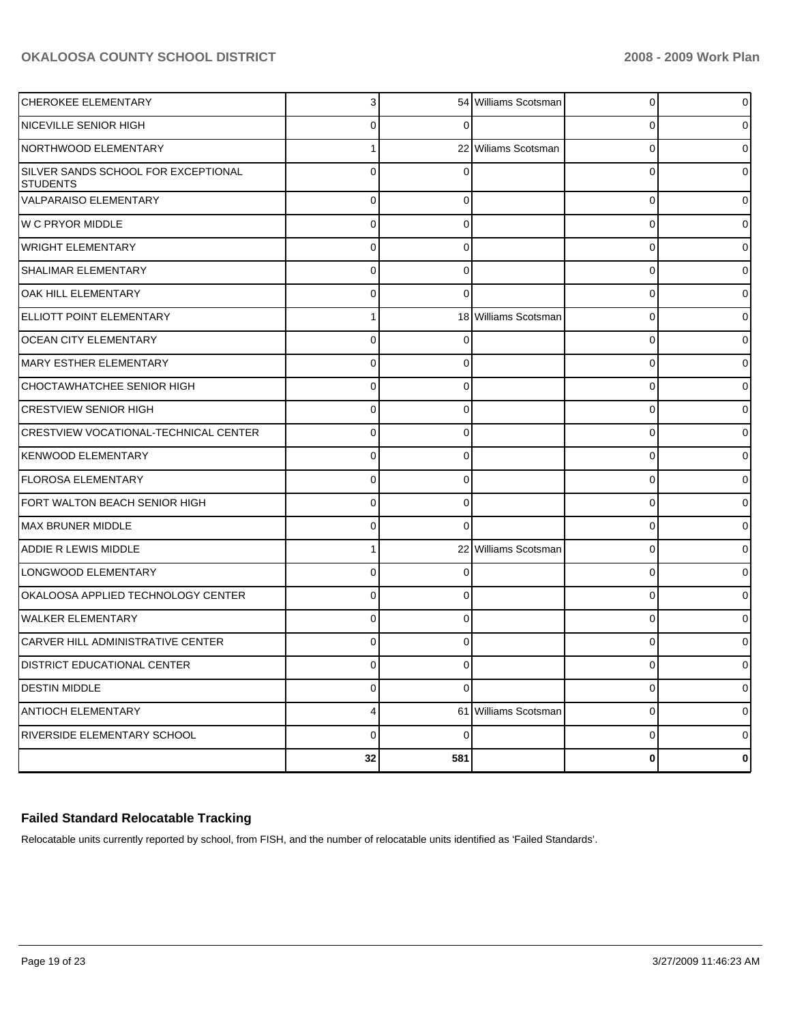| <b>CHEROKEE ELEMENTARY</b>                             | 3              |             | 54 Williams Scotsman | $\overline{0}$ | 0            |
|--------------------------------------------------------|----------------|-------------|----------------------|----------------|--------------|
| NICEVILLE SENIOR HIGH                                  | 0              | 0           |                      | 0              |              |
| NORTHWOOD ELEMENTARY                                   |                |             | 22 Wiliams Scotsman  | $\mathbf 0$    |              |
| SILVER SANDS SCHOOL FOR EXCEPTIONAL<br><b>STUDENTS</b> | $\Omega$       |             |                      | $\Omega$       |              |
| VALPARAISO ELEMENTARY                                  | $\mathbf 0$    | $\Omega$    |                      | $\mathbf 0$    |              |
| <b>W C PRYOR MIDDLE</b>                                | $\Omega$       | $\Omega$    |                      | $\mathbf 0$    |              |
| <b>WRIGHT ELEMENTARY</b>                               | $\Omega$       | $\Omega$    |                      | $\mathbf 0$    |              |
| SHALIMAR ELEMENTARY                                    | $\Omega$       | $\Omega$    |                      | $\mathbf 0$    |              |
| OAK HILL ELEMENTARY                                    | $\Omega$       | $\Omega$    |                      | $\mathbf 0$    |              |
| ELLIOTT POINT ELEMENTARY                               | 1              |             | 18 Williams Scotsman | $\mathbf 0$    |              |
| OCEAN CITY ELEMENTARY                                  | $\Omega$       | 0           |                      | $\mathbf 0$    |              |
| MARY ESTHER ELEMENTARY                                 | $\Omega$       | $\Omega$    |                      | $\mathbf 0$    |              |
| CHOCTAWHATCHEE SENIOR HIGH                             | $\Omega$       | $\Omega$    |                      | $\mathbf 0$    |              |
| <b>CRESTVIEW SENIOR HIGH</b>                           | $\Omega$       | $\Omega$    |                      | $\mathbf 0$    |              |
| CRESTVIEW VOCATIONAL-TECHNICAL CENTER                  | $\Omega$       | 0           |                      | $\mathbf 0$    |              |
| <b>KENWOOD ELEMENTARY</b>                              | $\Omega$       | $\Omega$    |                      | $\mathbf 0$    |              |
| FLOROSA ELEMENTARY                                     | $\Omega$       | 0           |                      | $\mathbf 0$    |              |
| FORT WALTON BEACH SENIOR HIGH                          | $\Omega$       | $\Omega$    |                      | $\mathbf 0$    |              |
| <b>MAX BRUNER MIDDLE</b>                               | $\Omega$       | $\Omega$    |                      | $\mathbf 0$    |              |
| ADDIE R LEWIS MIDDLE                                   | 1              |             | 22 Williams Scotsman | $\mathbf 0$    |              |
| LONGWOOD ELEMENTARY                                    | $\Omega$       | 0           |                      | $\mathbf 0$    |              |
| OKALOOSA APPLIED TECHNOLOGY CENTER                     | $\Omega$       | $\Omega$    |                      | $\mathbf 0$    |              |
| <b>WALKER ELEMENTARY</b>                               | $\Omega$       | $\Omega$    |                      | $\mathbf 0$    |              |
| CARVER HILL ADMINISTRATIVE CENTER                      | $\Omega$       | $\Omega$    |                      | $\mathbf 0$    |              |
| DISTRICT EDUCATIONAL CENTER                            | $\Omega$       | $\Omega$    |                      | 0              |              |
| <b>DESTIN MIDDLE</b>                                   | $\mathbf 0$    | $\Omega$    |                      | $\mathbf 0$    | 0            |
| ANTIOCH ELEMENTARY                                     | $\overline{4}$ |             | 61 Williams Scotsman | $\mathbf 0$    | 0            |
| RIVERSIDE ELEMENTARY SCHOOL                            | $\mathbf 0$    | $\mathbf 0$ |                      | $\mathbf 0$    | 0            |
|                                                        | 32             | 581         |                      | $\bf{0}$       | $\mathbf{0}$ |
|                                                        |                |             |                      |                |              |

## **Failed Standard Relocatable Tracking**

Relocatable units currently reported by school, from FISH, and the number of relocatable units identified as 'Failed Standards'.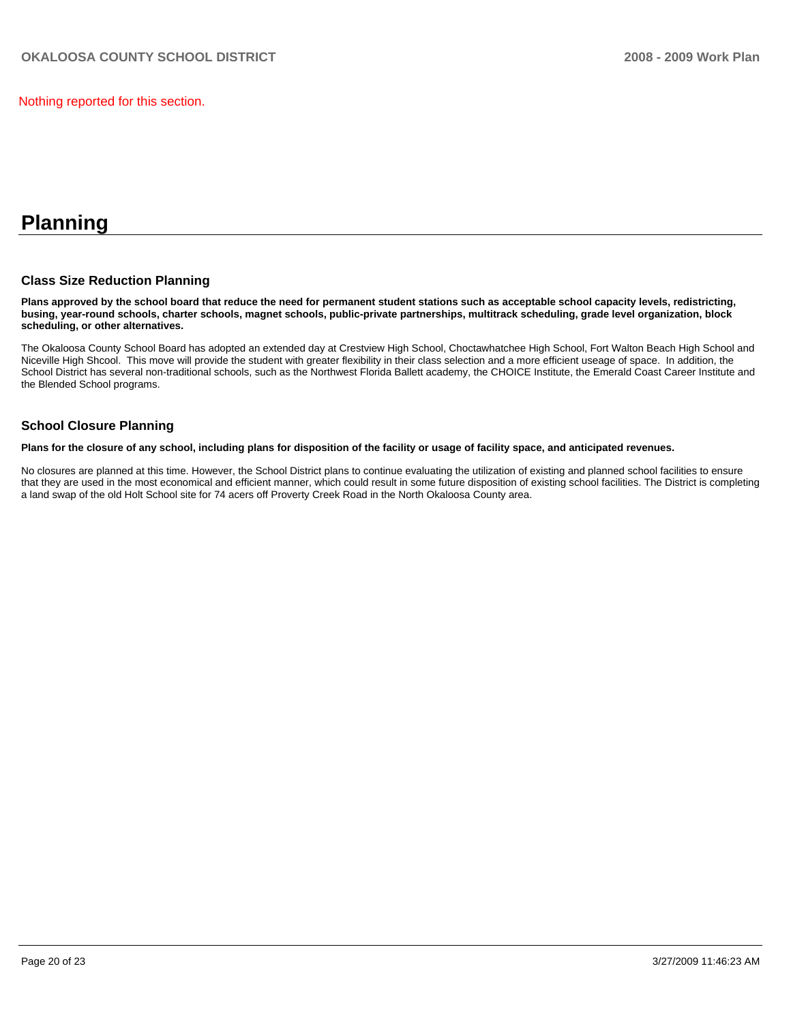Nothing reported for this section.

## **Planning**

### **Class Size Reduction Planning**

**Plans approved by the school board that reduce the need for permanent student stations such as acceptable school capacity levels, redistricting, busing, year-round schools, charter schools, magnet schools, public-private partnerships, multitrack scheduling, grade level organization, block scheduling, or other alternatives.** 

The Okaloosa County School Board has adopted an extended day at Crestview High School, Choctawhatchee High School, Fort Walton Beach High School and Niceville High Shcool. This move will provide the student with greater flexibility in their class selection and a more efficient useage of space. In addition, the School District has several non-traditional schools, such as the Northwest Florida Ballett academy, the CHOICE Institute, the Emerald Coast Career Institute and the Blended School programs.

## **School Closure Planning**

**Plans for the closure of any school, including plans for disposition of the facility or usage of facility space, and anticipated revenues.** 

No closures are planned at this time. However, the School District plans to continue evaluating the utilization of existing and planned school facilities to ensure that they are used in the most economical and efficient manner, which could result in some future disposition of existing school facilities. The District is completing a land swap of the old Holt School site for 74 acers off Proverty Creek Road in the North Okaloosa County area.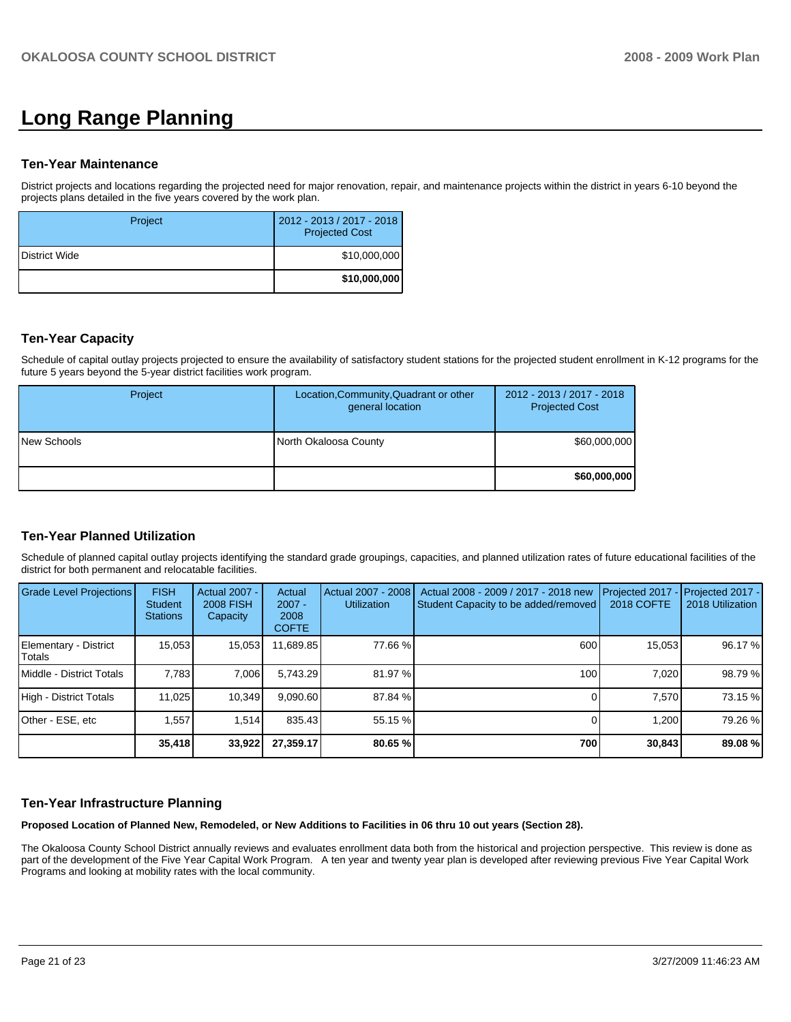# **Long Range Planning**

#### **Ten-Year Maintenance**

District projects and locations regarding the projected need for major renovation, repair, and maintenance projects within the district in years 6-10 beyond the projects plans detailed in the five years covered by the work plan.

| Project       | 2012 - 2013 / 2017 - 2018<br><b>Projected Cost</b> |
|---------------|----------------------------------------------------|
| District Wide | \$10,000,000                                       |
|               | \$10,000,000                                       |

## **Ten-Year Capacity**

Schedule of capital outlay projects projected to ensure the availability of satisfactory student stations for the projected student enrollment in K-12 programs for the future 5 years beyond the 5-year district facilities work program.

| Project     | Location, Community, Quadrant or other<br>general location | 2012 - 2013 / 2017 - 2018<br><b>Projected Cost</b> |
|-------------|------------------------------------------------------------|----------------------------------------------------|
| New Schools | North Okaloosa County                                      | \$60,000,000                                       |
|             |                                                            | \$60,000,000                                       |

## **Ten-Year Planned Utilization**

Schedule of planned capital outlay projects identifying the standard grade groupings, capacities, and planned utilization rates of future educational facilities of the district for both permanent and relocatable facilities.

| Grade Level Projections         | <b>FISH</b><br>Student<br><b>Stations</b> | <b>Actual 2007 -</b><br><b>2008 FISH</b><br>Capacity | Actual<br>$2007 -$<br>2008<br><b>COFTE</b> | Actual 2007 - 2008<br><b>Utilization</b> | Actual 2008 - 2009 / 2017 - 2018 new<br>Student Capacity to be added/removed | Projected 2017<br><b>2018 COFTE</b> | $-$ Projected 2017 -<br>2018 Utilization |
|---------------------------------|-------------------------------------------|------------------------------------------------------|--------------------------------------------|------------------------------------------|------------------------------------------------------------------------------|-------------------------------------|------------------------------------------|
| Elementary - District<br>Totals | 15.053                                    | 15,053                                               | 11,689.85                                  | 77.66 %                                  | 600                                                                          | 15,053                              | 96.17 %                                  |
| Middle - District Totals        | 7.783                                     | 7,006                                                | 5.743.29                                   | 81.97 %                                  | 100                                                                          | 7.020                               | 98.79 %                                  |
| High - District Totals          | 11.025                                    | 10.349                                               | 9.090.60                                   | 87.84 %                                  |                                                                              | 7.570                               | 73.15 %                                  |
| Other - ESE, etc                | 1.557                                     | 1.514                                                | 835.43                                     | 55.15 %                                  |                                                                              | 1.200                               | 79.26 %                                  |
|                                 | 35,418                                    | 33,922                                               | 27,359.17                                  | 80.65 %                                  | 700                                                                          | 30,843                              | 89.08 %                                  |

## **Ten-Year Infrastructure Planning**

**Proposed Location of Planned New, Remodeled, or New Additions to Facilities in 06 thru 10 out years (Section 28).** 

The Okaloosa County School District annually reviews and evaluates enrollment data both from the historical and projection perspective. This review is done as part of the development of the Five Year Capital Work Program. A ten year and twenty year plan is developed after reviewing previous Five Year Capital Work Programs and looking at mobility rates with the local community.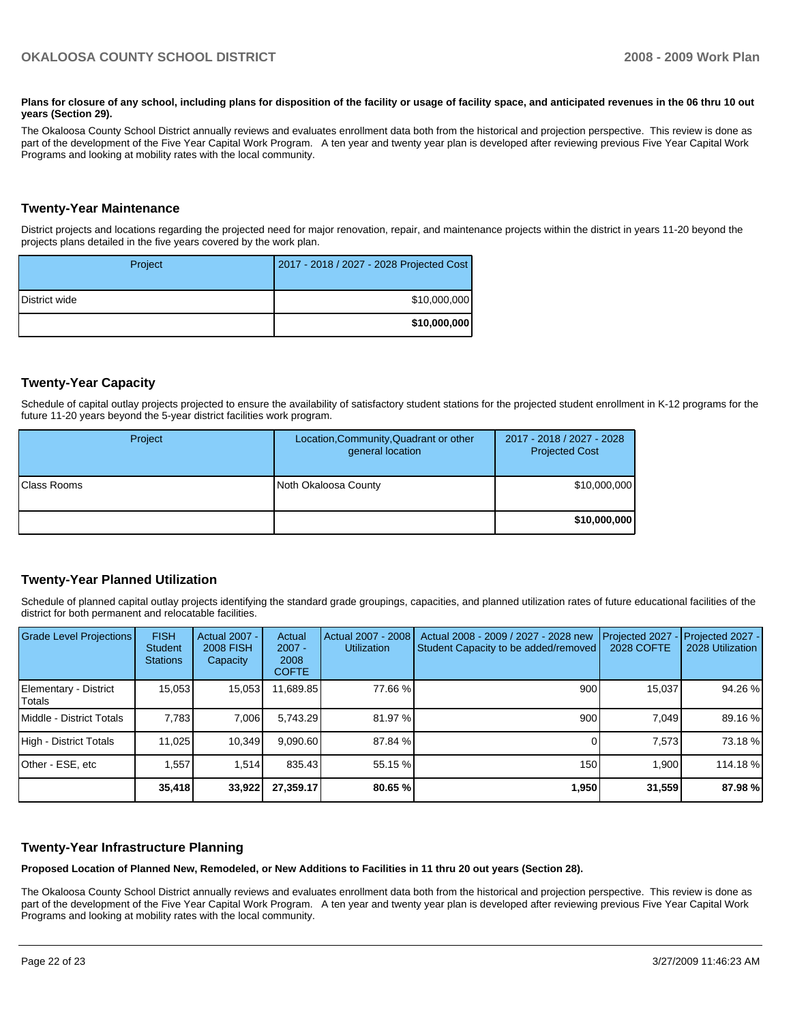#### Plans for closure of any school, including plans for disposition of the facility or usage of facility space, and anticipated revenues in the 06 thru 10 out **years (Section 29).**

The Okaloosa County School District annually reviews and evaluates enrollment data both from the historical and projection perspective. This review is done as part of the development of the Five Year Capital Work Program. A ten year and twenty year plan is developed after reviewing previous Five Year Capital Work Programs and looking at mobility rates with the local community.

### **Twenty-Year Maintenance**

District projects and locations regarding the projected need for major renovation, repair, and maintenance projects within the district in years 11-20 beyond the projects plans detailed in the five years covered by the work plan.

| Project              | 2017 - 2018 / 2027 - 2028 Projected Cost |
|----------------------|------------------------------------------|
| <b>District wide</b> | \$10,000,000                             |
|                      | \$10,000,000                             |

## **Twenty-Year Capacity**

Schedule of capital outlay projects projected to ensure the availability of satisfactory student stations for the projected student enrollment in K-12 programs for the future 11-20 years beyond the 5-year district facilities work program.

| Project             | Location, Community, Quadrant or other<br>general location | 2017 - 2018 / 2027 - 2028<br><b>Projected Cost</b> |
|---------------------|------------------------------------------------------------|----------------------------------------------------|
| <b>IClass Rooms</b> | Noth Okaloosa County                                       | \$10,000,000                                       |
|                     |                                                            | \$10,000,000                                       |

### **Twenty-Year Planned Utilization**

Schedule of planned capital outlay projects identifying the standard grade groupings, capacities, and planned utilization rates of future educational facilities of the district for both permanent and relocatable facilities.

| <b>Grade Level Projections</b>   | <b>FISH</b><br><b>Student</b><br><b>Stations</b> | <b>Actual 2007 -</b><br><b>2008 FISH</b><br>Capacity | Actual<br>$2007 -$<br>2008<br><b>COFTE</b> | Actual 2007 - 2008<br><b>Utilization</b> | Actual 2008 - 2009 / 2027 - 2028 new<br>Student Capacity to be added/removed | Projected 2027<br>2028 COFTE | Projected 2027 -<br>2028 Utilization |
|----------------------------------|--------------------------------------------------|------------------------------------------------------|--------------------------------------------|------------------------------------------|------------------------------------------------------------------------------|------------------------------|--------------------------------------|
| Elementary - District<br> Totals | 15,053                                           | 15,053                                               | 11,689.85                                  | 77.66 %                                  | 900                                                                          | 15,037                       | 94.26 %                              |
| Middle - District Totals         | 7.783                                            | 7,006                                                | 5.743.29                                   | 81.97 %                                  | 900                                                                          | 7.049                        | 89.16 %                              |
| High - District Totals           | 11.025                                           | 10.349                                               | 9.090.60                                   | 87.84 %                                  |                                                                              | 7,573                        | 73.18 %                              |
| lOther - ESE. etc                | 1.557                                            | 1.514                                                | 835.43                                     | 55.15 %                                  | 150                                                                          | 1.900                        | 114.18 %                             |
|                                  | 35,418                                           | 33,922                                               | 27,359.17                                  | 80.65 %                                  | 1,950                                                                        | 31,559                       | 87.98 %                              |

### **Twenty-Year Infrastructure Planning**

**Proposed Location of Planned New, Remodeled, or New Additions to Facilities in 11 thru 20 out years (Section 28).** 

The Okaloosa County School District annually reviews and evaluates enrollment data both from the historical and projection perspective. This review is done as part of the development of the Five Year Capital Work Program. A ten year and twenty year plan is developed after reviewing previous Five Year Capital Work Programs and looking at mobility rates with the local community.